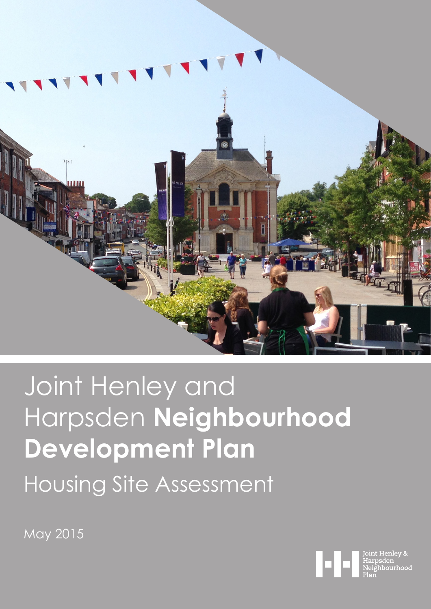

# Joint Henley and Harpsden **Neighbourhood Development Plan** Housing Site Assessment

May 2015

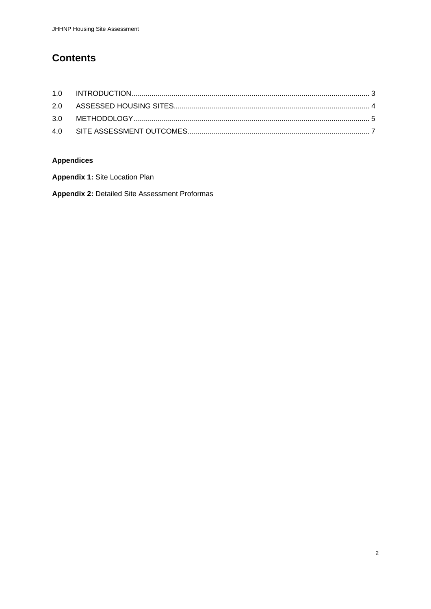## **Contents**

## **Appendices**

**Appendix 1:** Site Location Plan

**Appendix 2:** Detailed Site Assessment Proformas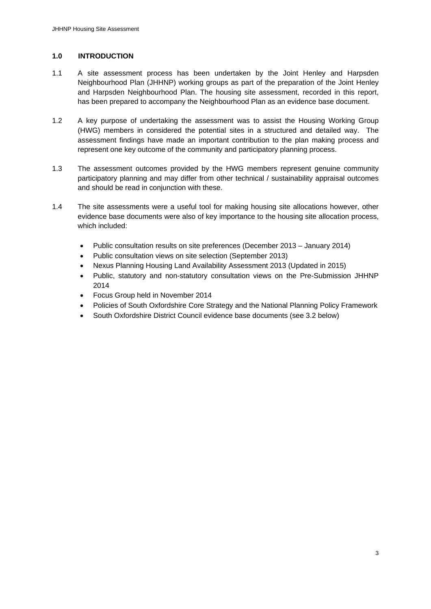#### **1.0 INTRODUCTION**

- 1.1 A site assessment process has been undertaken by the Joint Henley and Harpsden Neighbourhood Plan (JHHNP) working groups as part of the preparation of the Joint Henley and Harpsden Neighbourhood Plan. The housing site assessment, recorded in this report, has been prepared to accompany the Neighbourhood Plan as an evidence base document.
- 1.2 A key purpose of undertaking the assessment was to assist the Housing Working Group (HWG) members in considered the potential sites in a structured and detailed way. The assessment findings have made an important contribution to the plan making process and represent one key outcome of the community and participatory planning process.
- 1.3 The assessment outcomes provided by the HWG members represent genuine community participatory planning and may differ from other technical / sustainability appraisal outcomes and should be read in conjunction with these.
- 1.4 The site assessments were a useful tool for making housing site allocations however, other evidence base documents were also of key importance to the housing site allocation process, which included:
	- Public consultation results on site preferences (December 2013 January 2014)
	- Public consultation views on site selection (September 2013)
	- Nexus Planning Housing Land Availability Assessment 2013 (Updated in 2015)
	- Public, statutory and non-statutory consultation views on the Pre-Submission JHHNP 2014
	- Focus Group held in November 2014
	- Policies of South Oxfordshire Core Strategy and the National Planning Policy Framework
	- South Oxfordshire District Council evidence base documents (see 3.2 below)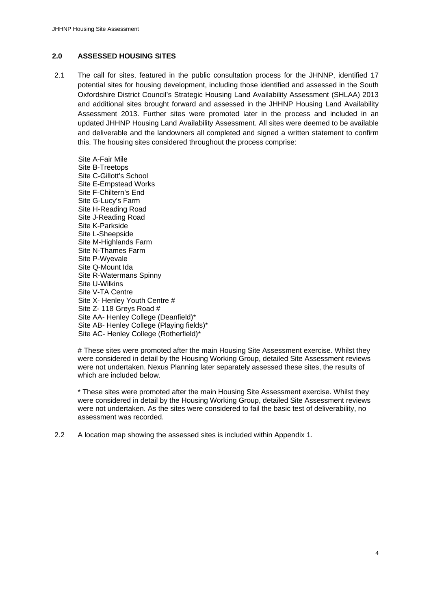#### **2.0 ASSESSED HOUSING SITES**

2.1 The call for sites, featured in the public consultation process for the JHNNP, identified 17 potential sites for housing development, including those identified and assessed in the South Oxfordshire District Council's Strategic Housing Land Availability Assessment (SHLAA) 2013 and additional sites brought forward and assessed in the JHHNP Housing Land Availability Assessment 2013. Further sites were promoted later in the process and included in an updated JHHNP Housing Land Availability Assessment. All sites were deemed to be available and deliverable and the landowners all completed and signed a written statement to confirm this. The housing sites considered throughout the process comprise:

Site A-Fair Mile Site B-Treetops Site C-Gillott's School Site E-Empstead Works Site F-Chiltern's End Site G-Lucy's Farm Site H-Reading Road Site J-Reading Road Site K-Parkside Site L-Sheepside Site M-Highlands Farm Site N-Thames Farm Site P-Wyevale Site Q-Mount Ida Site R-Watermans Spinny Site U-Wilkins Site V-TA Centre Site X- Henley Youth Centre # Site Z- 118 Greys Road # Site AA- Henley College (Deanfield)\* Site AB- Henley College (Playing fields)\* Site AC- Henley College (Rotherfield)\*

# These sites were promoted after the main Housing Site Assessment exercise. Whilst they were considered in detail by the Housing Working Group, detailed Site Assessment reviews were not undertaken. Nexus Planning later separately assessed these sites, the results of which are included below.

\* These sites were promoted after the main Housing Site Assessment exercise. Whilst they were considered in detail by the Housing Working Group, detailed Site Assessment reviews were not undertaken. As the sites were considered to fail the basic test of deliverability, no assessment was recorded.

2.2 A location map showing the assessed sites is included within Appendix 1.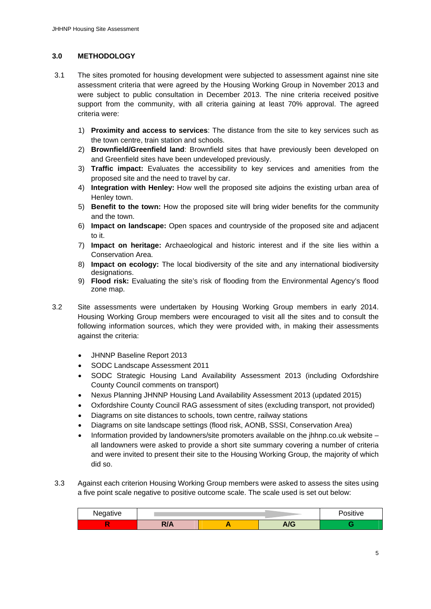#### **3.0 METHODOLOGY**

- 3.1 The sites promoted for housing development were subjected to assessment against nine site assessment criteria that were agreed by the Housing Working Group in November 2013 and were subject to public consultation in December 2013. The nine criteria received positive support from the community, with all criteria gaining at least 70% approval. The agreed criteria were:
	- 1) **Proximity and access to services**: The distance from the site to key services such as the town centre, train station and schools.
	- 2) **Brownfield/Greenfield land**: Brownfield sites that have previously been developed on and Greenfield sites have been undeveloped previously.
	- 3) **Traffic impact:** Evaluates the accessibility to key services and amenities from the proposed site and the need to travel by car.
	- 4) **Integration with Henley:** How well the proposed site adjoins the existing urban area of Henley town.
	- 5) **Benefit to the town:** How the proposed site will bring wider benefits for the community and the town.
	- 6) **Impact on landscape:** Open spaces and countryside of the proposed site and adjacent to it.
	- 7) **Impact on heritage:** Archaeological and historic interest and if the site lies within a Conservation Area.
	- 8) **Impact on ecology:** The local biodiversity of the site and any international biodiversity designations.
	- 9) **Flood risk:** Evaluating the site's risk of flooding from the Environmental Agency's flood zone map.
- 3.2 Site assessments were undertaken by Housing Working Group members in early 2014. Housing Working Group members were encouraged to visit all the sites and to consult the following information sources, which they were provided with, in making their assessments against the criteria:
	- JHNNP Baseline Report 2013
	- SODC Landscape Assessment 2011
	- SODC Strategic Housing Land Availability Assessment 2013 (including Oxfordshire County Council comments on transport)
	- Nexus Planning JHNNP Housing Land Availability Assessment 2013 (updated 2015)
	- Oxfordshire County Council RAG assessment of sites (excluding transport, not provided)
	- Diagrams on site distances to schools, town centre, railway stations
	- Diagrams on site landscape settings (flood risk, AONB, SSSI, Conservation Area)
	- Information provided by landowners/site promoters available on the jhhnp.co.uk website all landowners were asked to provide a short site summary covering a number of criteria and were invited to present their site to the Housing Working Group, the majority of which did so.
- 3.3 Against each criterion Housing Working Group members were asked to assess the sites using a five point scale negative to positive outcome scale. The scale used is set out below:

| <b>Negative</b><br>.<br>ت · |              |                  | $\cdots$<br>sitive |
|-----------------------------|--------------|------------------|--------------------|
|                             | $\mathbf{v}$ | $\sqrt{2}$<br>vv |                    |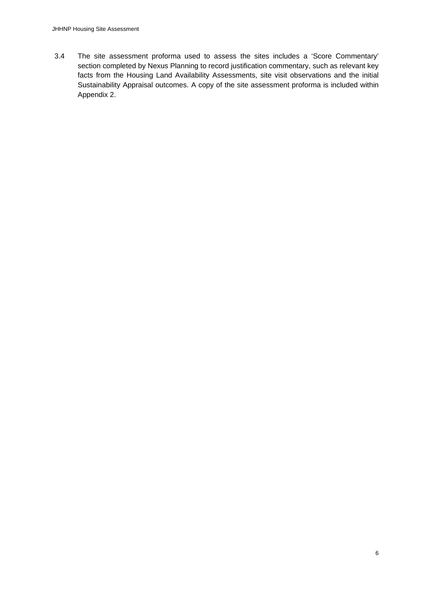3.4 The site assessment proforma used to assess the sites includes a 'Score Commentary' section completed by Nexus Planning to record justification commentary, such as relevant key facts from the Housing Land Availability Assessments, site visit observations and the initial Sustainability Appraisal outcomes. A copy of the site assessment proforma is included within Appendix 2.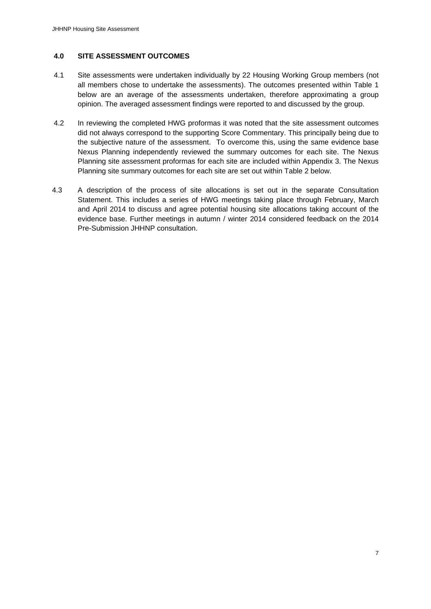#### **4.0 SITE ASSESSMENT OUTCOMES**

- 4.1 Site assessments were undertaken individually by 22 Housing Working Group members (not all members chose to undertake the assessments). The outcomes presented within Table 1 below are an average of the assessments undertaken, therefore approximating a group opinion. The averaged assessment findings were reported to and discussed by the group.
- 4.2 In reviewing the completed HWG proformas it was noted that the site assessment outcomes did not always correspond to the supporting Score Commentary. This principally being due to the subjective nature of the assessment. To overcome this, using the same evidence base Nexus Planning independently reviewed the summary outcomes for each site. The Nexus Planning site assessment proformas for each site are included within Appendix 3. The Nexus Planning site summary outcomes for each site are set out within Table 2 below.
- 4.3 A description of the process of site allocations is set out in the separate Consultation Statement. This includes a series of HWG meetings taking place through February, March and April 2014 to discuss and agree potential housing site allocations taking account of the evidence base. Further meetings in autumn / winter 2014 considered feedback on the 2014 Pre-Submission JHHNP consultation.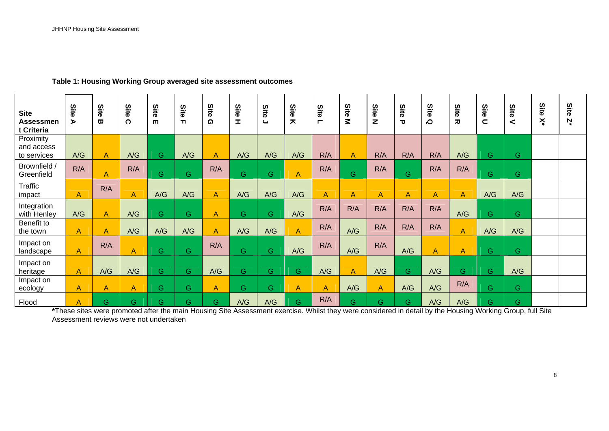| <b>Site</b><br><b>Assessmen</b><br>t Criteria | Site<br>⋗      | Site<br>$\boldsymbol{\varpi}$ | Site<br>$\Omega$ | Site<br>$\blacksquare$ | Site<br>m | Site<br>ດ      | Site<br><b>I</b> | Site<br>$\epsilon$ | Site<br>ᄎ      | Site<br>Е      | Site<br>Σ      | Site<br>z      | Site<br>$\mathbf{\tau}$ | Site<br>$\Omega$ | Site<br>$\overline{\bm{x}}$ | Site<br>$\subset$ | Site<br>< | Site<br>× | Site<br>Ņ |
|-----------------------------------------------|----------------|-------------------------------|------------------|------------------------|-----------|----------------|------------------|--------------------|----------------|----------------|----------------|----------------|-------------------------|------------------|-----------------------------|-------------------|-----------|-----------|-----------|
| Proximity<br>and access<br>to services        | A/G            | A                             | A/G              | G                      | A/G       | $\overline{A}$ | A/G              | A/G                | A/G            | R/A            | $\overline{A}$ | R/A            | R/A                     | R/A              | A/G                         | G                 | G.        |           |           |
| Brownfield /<br>Greenfield                    | R/A            | A                             | R/A              | G                      | G         | R/A            | G.               | G.                 | A              | R/A            | G.             | R/A            | G                       | R/A              | R/A                         | G.                | G.        |           |           |
| <b>Traffic</b><br>impact                      | $\overline{A}$ | R/A                           | $\overline{A}$   | A/G                    | A/G       | $\overline{A}$ | A/G              | A/G                | A/G            | $\overline{A}$ | $\overline{A}$ | $\overline{A}$ | $\overline{A}$          | A                | $\overline{A}$              | A/G               | A/G       |           |           |
| Integration<br>with Henley                    | A/G            | $\mathsf{A}$                  | A/G              | G.                     | G         | $\overline{A}$ | G.               | G.                 | A/G            | R/A            | R/A            | R/A            | R/A                     | R/A              | A/G                         | G                 | G.        |           |           |
| Benefit to<br>the town                        | $\overline{A}$ | A                             | A/G              | A/G                    | A/G       | $\overline{A}$ | A/G              | A/G                | $\overline{A}$ | R/A            | A/G            | R/A            | R/A                     | R/A              | A                           | A/G               | A/G       |           |           |
| Impact on<br>landscape                        | $\mathsf{A}$   | R/A                           | A                | G                      | G         | R/A            | G.               | G.                 | A/G            | R/A            | A/G            | R/A            | A/G                     | A                | A                           | G                 | G.        |           |           |
| Impact on<br>heritage                         | $\overline{A}$ | A/G                           | A/G              | G                      | G         | A/G            | G.               | G.                 | G.             | A/G            | $\overline{A}$ | A/G            | G.                      | A/G              | G.                          | G                 | A/G       |           |           |
| Impact on<br>ecology                          | $\overline{A}$ | A                             | A                | G                      | G         | $\mathsf{A}$   | G.               | G.                 | A              | $\overline{A}$ | A/G            | $\overline{A}$ | A/G                     | A/G              | R/A                         | G                 | G.        |           |           |
| Flood                                         | A              | Ġ                             | G                | Ġ                      | G         | $\overline{G}$ | A/G              | A/G                | Ġ.             | R/A            | G              | G              | G.                      | A/G              | A/G                         | G                 | G.        |           |           |

**Table 1: Housing Working Group averaged site assessment outcomes** 

\*These sites were promoted after the main Housing Site Assessment exercise. Whilst they were considered in detail by the Housing Working Group, full Site Assessment reviews were not undertaken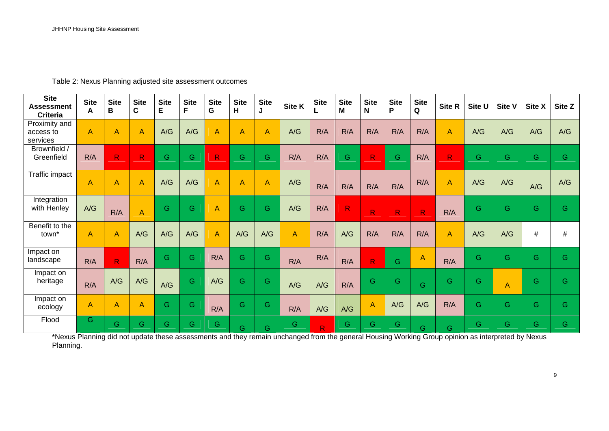Table 2: Nexus Planning adjusted site assessment outcomes

| <b>Site</b><br><b>Assessment</b><br><b>Criteria</b> | <b>Site</b><br>A | <b>Site</b><br>B | <b>Site</b><br>C | <b>Site</b><br>E | <b>Site</b><br>F. | <b>Site</b><br>G | <b>Site</b><br>H. | <b>Site</b><br>J | Site K         | <b>Site</b>             | <b>Site</b><br>м        | <b>Site</b><br>N | <b>Site</b><br>P | <b>Site</b><br>Q | Site R         | Site U | Site V | Site X | Site Z |
|-----------------------------------------------------|------------------|------------------|------------------|------------------|-------------------|------------------|-------------------|------------------|----------------|-------------------------|-------------------------|------------------|------------------|------------------|----------------|--------|--------|--------|--------|
| Proximity and<br>access to<br>services              | $\overline{A}$   | $\overline{A}$   | Α                | A/G              | A/G               | $\overline{A}$   | $\overline{A}$    | A                | A/G            | R/A                     | R/A                     | R/A              | R/A              | R/A              | $\overline{A}$ | A/G    | A/G    | A/G    | A/G    |
| Brownfield /<br>Greenfield                          | R/A              | R.               | $\mathsf{R}$     | G                | G                 | R                | G                 | G                | R/A            | R/A                     | G                       | $\mathsf{R}$     | G                | R/A              | R.             | G      | G      | G      | G      |
| <b>Traffic impact</b>                               | $\overline{A}$   | $\overline{A}$   | A                | A/G              | A/G               | A                | $\overline{A}$    | A                | A/G            | R/A                     | R/A                     | R/A              | R/A              | R/A              | $\overline{A}$ | A/G    | A/G    | A/G    | A/G    |
| Integration<br>with Henley                          | A/G              | R/A              | A                | G                | G                 | $\overline{A}$   | G                 | G                | A/G            | R/A                     | $\overline{\mathsf{R}}$ | R                | R                | $\mathsf{R}$     | R/A            | G      | G.     | G      | G      |
| Benefit to the<br>town <sup>*</sup>                 | $\overline{A}$   | $\overline{A}$   | A/G              | A/G              | A/G               | A                | A/G               | A/G              | $\overline{A}$ | R/A                     | A/G                     | R/A              | R/A              | R/A              | $\overline{A}$ | A/G    | A/G    | #      | #      |
| Impact on<br>landscape                              | R/A              | R.               | R/A              | G                | G                 | R/A              | $\overline{G}$    | G                | R/A            | R/A                     | R/A                     | $\mathsf{R}$     | G                | $\overline{A}$   | R/A            | G.     | G.     | G.     | G      |
| Impact on<br>heritage                               | R/A              | A/G              | A/G              | A/G              | G                 | A/G              | G                 | G                | A/G            | A/G                     | R/A                     | G                | G                | G                | G              | G      | A      | G      | G      |
| Impact on<br>ecology                                | $\overline{A}$   | $\overline{A}$   | Α                | G                | G                 | R/A              | Ġ                 | G                | R/A            | A/G                     | A/G                     | A                | A/G              | A/G              | R/A            | G      | G      | G.     | G      |
| Flood                                               | G                | G                | G.               | G                | G                 | G                | G                 | G                | G.             | $\overline{\mathsf{R}}$ | G                       | G.               | G                | G                | G              | G      | G.     | G.     | G      |

\*Nexus Planning did not update these assessments and they remain unchanged from the general Housing Working Group opinion as interpreted by Nexus Planning.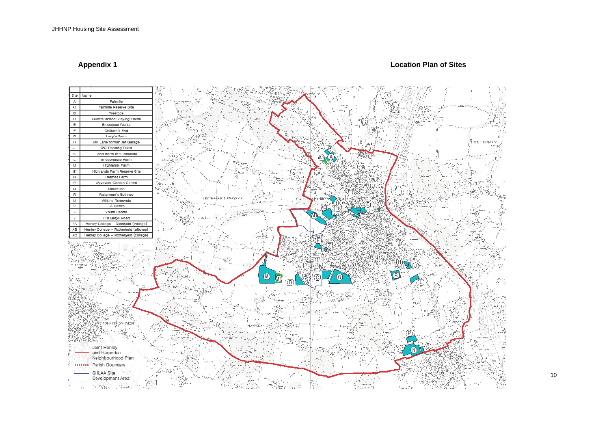#### **Appendix 1 Location Plan of Sites**

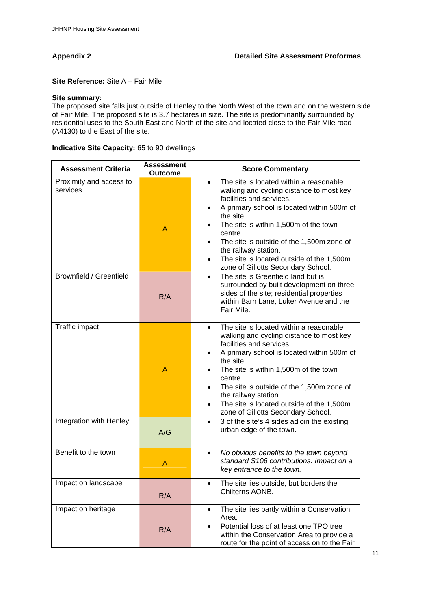**Site Reference:** Site A – Fair Mile

#### **Site summary:**

The proposed site falls just outside of Henley to the North West of the town and on the western side of Fair Mile. The proposed site is 3.7 hectares in size. The site is predominantly surrounded by residential uses to the South East and North of the site and located close to the Fair Mile road (A4130) to the East of the site.

#### **Indicative Site Capacity:** 65 to 90 dwellings

| <b>Assessment Criteria</b>          | <b>Assessment</b><br>Outcome | <b>Score Commentary</b>                                                                                                                                                                                                                                                                                                                                                                                                                    |
|-------------------------------------|------------------------------|--------------------------------------------------------------------------------------------------------------------------------------------------------------------------------------------------------------------------------------------------------------------------------------------------------------------------------------------------------------------------------------------------------------------------------------------|
| Proximity and access to<br>services | A                            | The site is located within a reasonable<br>$\bullet$<br>walking and cycling distance to most key<br>facilities and services.<br>A primary school is located within 500m of<br>the site.<br>The site is within 1,500m of the town<br>centre.<br>The site is outside of the 1,500m zone of<br>$\bullet$<br>the railway station.<br>The site is located outside of the 1,500m<br>$\bullet$<br>zone of Gillotts Secondary School.              |
| Brownfield / Greenfield             | R/A                          | The site is Greenfield land but is<br>$\bullet$<br>surrounded by built development on three<br>sides of the site; residential properties<br>within Barn Lane, Luker Avenue and the<br>Fair Mile.                                                                                                                                                                                                                                           |
| Traffic impact                      | $\mathsf{A}$                 | The site is located within a reasonable<br>$\bullet$<br>walking and cycling distance to most key<br>facilities and services.<br>A primary school is located within 500m of<br>$\bullet$<br>the site.<br>The site is within 1,500m of the town<br>centre.<br>The site is outside of the 1,500m zone of<br>$\bullet$<br>the railway station.<br>The site is located outside of the 1,500m<br>$\bullet$<br>zone of Gillotts Secondary School. |
| Integration with Henley             | A/G                          | 3 of the site's 4 sides adjoin the existing<br>$\bullet$<br>urban edge of the town.                                                                                                                                                                                                                                                                                                                                                        |
| Benefit to the town                 | A                            | No obvious benefits to the town beyond<br>$\bullet$<br>standard S106 contributions. Impact on a<br>key entrance to the town.                                                                                                                                                                                                                                                                                                               |
| Impact on landscape                 | R/A                          | The site lies outside, but borders the<br>Chilterns AONB.                                                                                                                                                                                                                                                                                                                                                                                  |
| Impact on heritage                  | R/A                          | The site lies partly within a Conservation<br>$\bullet$<br>Area.<br>Potential loss of at least one TPO tree<br>within the Conservation Area to provide a<br>route for the point of access on to the Fair                                                                                                                                                                                                                                   |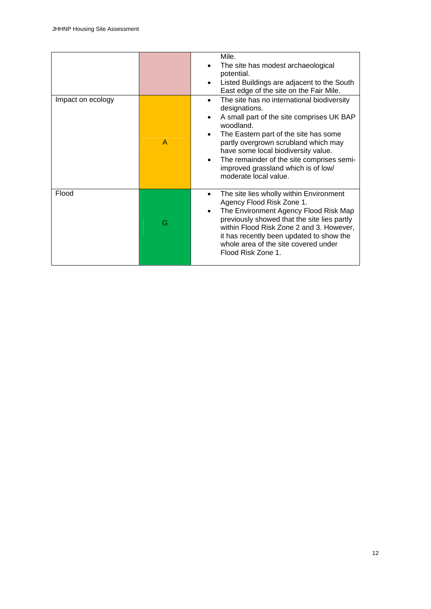|                   |                | Mile.<br>The site has modest archaeological<br>potential.<br>Listed Buildings are adjacent to the South<br>East edge of the site on the Fair Mile.                                                                                                                                                                                                              |
|-------------------|----------------|-----------------------------------------------------------------------------------------------------------------------------------------------------------------------------------------------------------------------------------------------------------------------------------------------------------------------------------------------------------------|
| Impact on ecology | $\overline{A}$ | The site has no international biodiversity<br>designations.<br>A small part of the site comprises UK BAP<br>woodland.<br>The Eastern part of the site has some<br>partly overgrown scrubland which may<br>have some local biodiversity value.<br>The remainder of the site comprises semi-<br>٠<br>improved grassland which is of low/<br>moderate local value. |
| Flood             | G              | The site lies wholly within Environment<br>Agency Flood Risk Zone 1.<br>The Environment Agency Flood Risk Map<br>previously showed that the site lies partly<br>within Flood Risk Zone 2 and 3. However,<br>it has recently been updated to show the<br>whole area of the site covered under<br>Flood Risk Zone 1.                                              |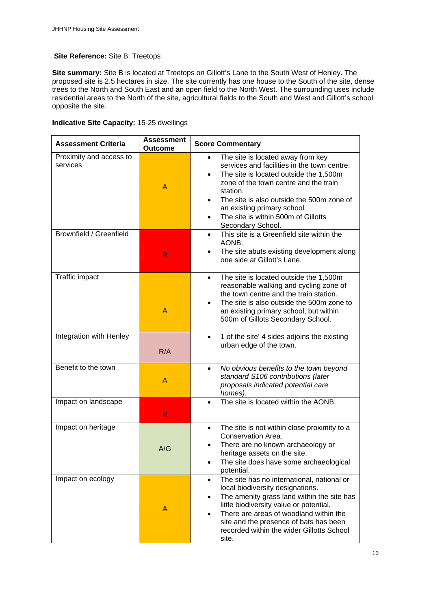#### **Site Reference:** Site B: Treetops

**Site summary:** Site B is located at Treetops on Gillott's Lane to the South West of Henley. The proposed site is 2.5 hectares in size. The site currently has one house to the South of the site, dense trees to the North and South East and an open field to the North West. The surrounding uses include residential areas to the North of the site, agricultural fields to the South and West and Gillott's school opposite the site.

#### **Indicative Site Capacity:** 15-25 dwellings

| <b>Assessment Criteria</b>          | <b>Assessment</b><br><b>Outcome</b> | <b>Score Commentary</b>                                                                                                                                                                                                                                                                                                                           |
|-------------------------------------|-------------------------------------|---------------------------------------------------------------------------------------------------------------------------------------------------------------------------------------------------------------------------------------------------------------------------------------------------------------------------------------------------|
| Proximity and access to<br>services | A                                   | The site is located away from key<br>$\bullet$<br>services and facilities in the town centre.<br>The site is located outside the 1,500m<br>$\bullet$<br>zone of the town centre and the train<br>station.<br>The site is also outside the 500m zone of<br>an existing primary school.<br>The site is within 500m of Gillotts<br>Secondary School. |
| Brownfield / Greenfield             | R                                   | This site is a Greenfield site within the<br>$\bullet$<br>AONB.<br>The site abuts existing development along<br>one side at Gillott's Lane.                                                                                                                                                                                                       |
| Traffic impact                      | A                                   | The site is located outside the 1,500m<br>$\bullet$<br>reasonable walking and cycling zone of<br>the town centre and the train station.<br>The site is also outside the 500m zone to<br>an existing primary school, but within<br>500m of Gillots Secondary School.                                                                               |
| Integration with Henley             | R/A                                 | 1 of the site' 4 sides adjoins the existing<br>$\bullet$<br>urban edge of the town.                                                                                                                                                                                                                                                               |
| Benefit to the town                 | $\mathsf{A}$                        | No obvious benefits to the town beyond<br>$\bullet$<br>standard S106 contributions (later<br>proposals indicated potential care<br>homes).                                                                                                                                                                                                        |
| Impact on landscape                 | $\mathsf{R}$                        | The site is located within the AONB.<br>$\bullet$                                                                                                                                                                                                                                                                                                 |
| Impact on heritage                  | A/G                                 | The site is not within close proximity to a<br>$\bullet$<br>Conservation Area.<br>There are no known archaeology or<br>heritage assets on the site.<br>The site does have some archaeological<br>potential.                                                                                                                                       |
| Impact on ecology                   | A                                   | The site has no international, national or<br>$\bullet$<br>local biodiversity designations.<br>The amenity grass land within the site has<br>little biodiversity value or potential.<br>There are areas of woodland within the<br>site and the presence of bats has been<br>recorded within the wider Gillotts School<br>site.                    |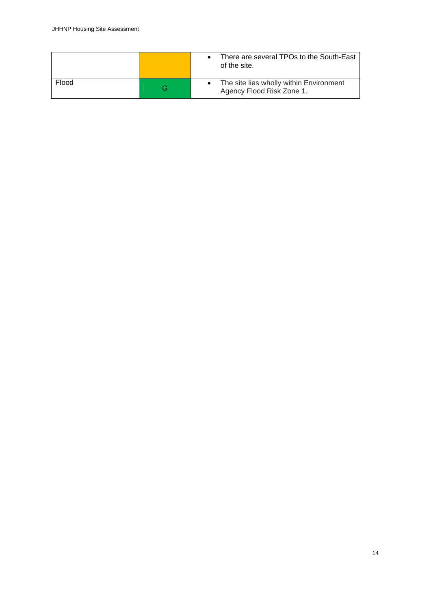|       |   | There are several TPOs to the South-East<br>of the site.             |
|-------|---|----------------------------------------------------------------------|
| Flood | G | The site lies wholly within Environment<br>Agency Flood Risk Zone 1. |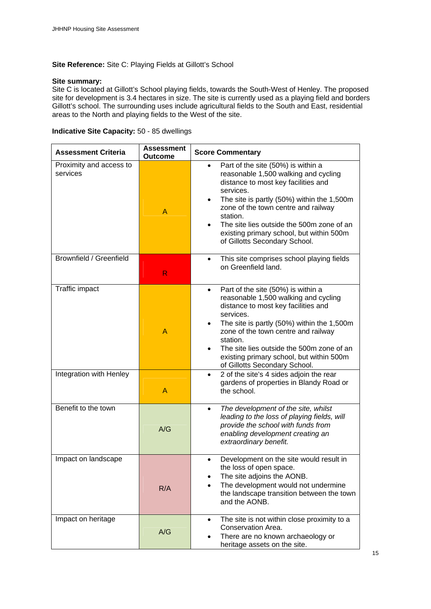#### **Site Reference:** Site C: Playing Fields at Gillott's School

#### **Site summary:**

Site C is located at Gillott's School playing fields, towards the South-West of Henley. The proposed site for development is 3.4 hectares in size. The site is currently used as a playing field and borders Gillott's school. The surrounding uses include agricultural fields to the South and East, residential areas to the North and playing fields to the West of the site.

#### **Indicative Site Capacity:** 50 - 85 dwellings

| <b>Assessment Criteria</b>          | Assessment<br><b>Outcome</b> | <b>Score Commentary</b>                                                                                                                                                                                                                                                                                                                                                             |
|-------------------------------------|------------------------------|-------------------------------------------------------------------------------------------------------------------------------------------------------------------------------------------------------------------------------------------------------------------------------------------------------------------------------------------------------------------------------------|
| Proximity and access to<br>services | A                            | Part of the site (50%) is within a<br>$\bullet$<br>reasonable 1,500 walking and cycling<br>distance to most key facilities and<br>services.<br>The site is partly (50%) within the 1,500m<br>$\bullet$<br>zone of the town centre and railway<br>station.<br>The site lies outside the 500m zone of an<br>existing primary school, but within 500m<br>of Gillotts Secondary School. |
| Brownfield / Greenfield             | R.                           | This site comprises school playing fields<br>$\bullet$<br>on Greenfield land.                                                                                                                                                                                                                                                                                                       |
| Traffic impact                      | A                            | Part of the site (50%) is within a<br>$\bullet$<br>reasonable 1,500 walking and cycling<br>distance to most key facilities and<br>services.<br>The site is partly (50%) within the 1,500m<br>zone of the town centre and railway<br>station.<br>The site lies outside the 500m zone of an<br>existing primary school, but within 500m<br>of Gillotts Secondary School.              |
| Integration with Henley             | A                            | 2 of the site's 4 sides adjoin the rear<br>$\bullet$<br>gardens of properties in Blandy Road or<br>the school.                                                                                                                                                                                                                                                                      |
| Benefit to the town                 | A/G                          | The development of the site, whilst<br>$\bullet$<br>leading to the loss of playing fields, will<br>provide the school with funds from<br>enabling development creating an<br>extraordinary benefit.                                                                                                                                                                                 |
| Impact on landscape                 | R/A                          | Development on the site would result in<br>the loss of open space.<br>The site adjoins the AONB.<br>The development would not undermine<br>the landscape transition between the town<br>and the AONB.                                                                                                                                                                               |
| Impact on heritage                  | A/G                          | The site is not within close proximity to a<br>$\bullet$<br>Conservation Area.<br>There are no known archaeology or<br>heritage assets on the site.                                                                                                                                                                                                                                 |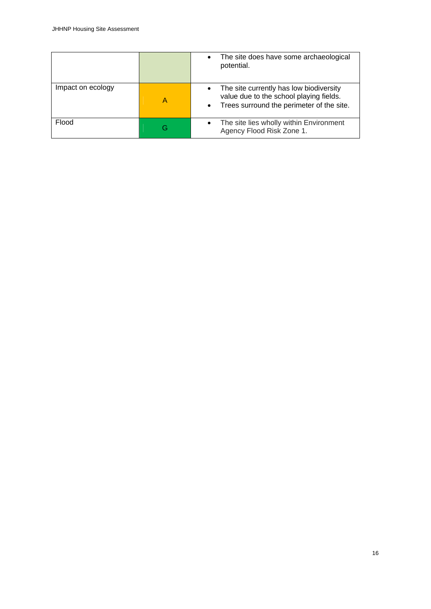|                   |   | The site does have some archaeological<br>potential.                                                                            |
|-------------------|---|---------------------------------------------------------------------------------------------------------------------------------|
| Impact on ecology | Α | The site currently has low biodiversity<br>value due to the school playing fields.<br>Trees surround the perimeter of the site. |
| Flood             | G | The site lies wholly within Environment<br>Agency Flood Risk Zone 1.                                                            |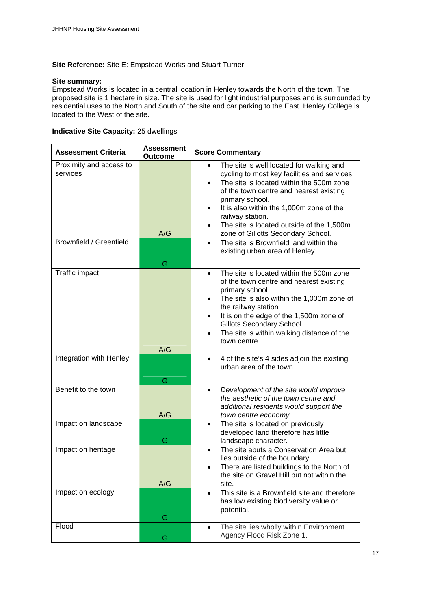#### **Site Reference:** Site E: Empstead Works and Stuart Turner

#### **Site summary:**

Empstead Works is located in a central location in Henley towards the North of the town. The proposed site is 1 hectare in size. The site is used for light industrial purposes and is surrounded by residential uses to the North and South of the site and car parking to the East. Henley College is located to the West of the site.

#### **Indicative Site Capacity:** 25 dwellings

| <b>Assessment Criteria</b>                                     | <b>Assessment</b><br><b>Outcome</b> | <b>Score Commentary</b>                                                                                                                                                                                                                                                                                                                                                                         |
|----------------------------------------------------------------|-------------------------------------|-------------------------------------------------------------------------------------------------------------------------------------------------------------------------------------------------------------------------------------------------------------------------------------------------------------------------------------------------------------------------------------------------|
| Proximity and access to<br>services<br>Brownfield / Greenfield | A/G                                 | The site is well located for walking and<br>cycling to most key facilities and services.<br>The site is located within the 500m zone<br>of the town centre and nearest existing<br>primary school.<br>It is also within the 1,000m zone of the<br>railway station.<br>The site is located outside of the 1,500m<br>zone of Gillotts Secondary School.<br>The site is Brownfield land within the |
|                                                                | G                                   | existing urban area of Henley.                                                                                                                                                                                                                                                                                                                                                                  |
| Traffic impact                                                 |                                     | The site is located within the 500m zone<br>$\bullet$<br>of the town centre and nearest existing<br>primary school.<br>The site is also within the 1,000m zone of<br>the railway station.<br>It is on the edge of the 1,500m zone of<br>Gillots Secondary School.<br>The site is within walking distance of the<br>town centre.                                                                 |
| Integration with Henley                                        | A/G<br>G                            | 4 of the site's 4 sides adjoin the existing<br>urban area of the town.                                                                                                                                                                                                                                                                                                                          |
| Benefit to the town                                            | A/G                                 | Development of the site would improve<br>the aesthetic of the town centre and<br>additional residents would support the<br>town centre economy.                                                                                                                                                                                                                                                 |
| Impact on landscape                                            | G                                   | The site is located on previously<br>$\bullet$<br>developed land therefore has little<br>landscape character.                                                                                                                                                                                                                                                                                   |
| Impact on heritage                                             | A/G                                 | The site abuts a Conservation Area but<br>$\bullet$<br>lies outside of the boundary.<br>There are listed buildings to the North of<br>the site on Gravel Hill but not within the<br>site.                                                                                                                                                                                                       |
| Impact on ecology                                              | G                                   | This site is a Brownfield site and therefore<br>$\bullet$<br>has low existing biodiversity value or<br>potential.                                                                                                                                                                                                                                                                               |
| Flood                                                          | G                                   | The site lies wholly within Environment<br>$\bullet$<br>Agency Flood Risk Zone 1.                                                                                                                                                                                                                                                                                                               |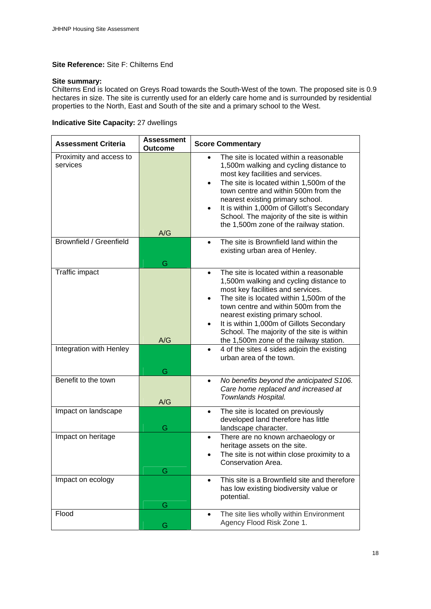#### **Site Reference:** Site F: Chilterns End

#### **Site summary:**

Chilterns End is located on Greys Road towards the South-West of the town. The proposed site is 0.9 hectares in size. The site is currently used for an elderly care home and is surrounded by residential properties to the North, East and South of the site and a primary school to the West.

### **Indicative Site Capacity:** 27 dwellings

| <b>Assessment Criteria</b>          | <b>Assessment</b><br><b>Outcome</b> | <b>Score Commentary</b>                                                                                                                                                                                                                                                                                                                                                                          |
|-------------------------------------|-------------------------------------|--------------------------------------------------------------------------------------------------------------------------------------------------------------------------------------------------------------------------------------------------------------------------------------------------------------------------------------------------------------------------------------------------|
| Proximity and access to<br>services | A/G                                 | The site is located within a reasonable<br>1,500m walking and cycling distance to<br>most key facilities and services.<br>The site is located within 1,500m of the<br>town centre and within 500m from the<br>nearest existing primary school.<br>It is within 1,000m of Gillott's Secondary<br>School. The majority of the site is within<br>the 1,500m zone of the railway station.            |
| Brownfield / Greenfield             | G                                   | The site is Brownfield land within the<br>$\bullet$<br>existing urban area of Henley.                                                                                                                                                                                                                                                                                                            |
| Traffic impact                      | A/G                                 | The site is located within a reasonable<br>$\bullet$<br>1,500m walking and cycling distance to<br>most key facilities and services.<br>The site is located within 1,500m of the<br>town centre and within 500m from the<br>nearest existing primary school.<br>It is within 1,000m of Gillots Secondary<br>School. The majority of the site is within<br>the 1,500m zone of the railway station. |
| Integration with Henley             | G                                   | 4 of the sites 4 sides adjoin the existing<br>$\bullet$<br>urban area of the town.                                                                                                                                                                                                                                                                                                               |
| Benefit to the town                 | A/G                                 | No benefits beyond the anticipated S106.<br>$\bullet$<br>Care home replaced and increased at<br>Townlands Hospital.                                                                                                                                                                                                                                                                              |
| Impact on landscape                 | G                                   | The site is located on previously<br>$\bullet$<br>developed land therefore has little<br>landscape character.                                                                                                                                                                                                                                                                                    |
| Impact on heritage                  | G                                   | There are no known archaeology or<br>$\bullet$<br>heritage assets on the site.<br>The site is not within close proximity to a<br>Conservation Area.                                                                                                                                                                                                                                              |
| Impact on ecology                   | G                                   | This site is a Brownfield site and therefore<br>$\bullet$<br>has low existing biodiversity value or<br>potential.                                                                                                                                                                                                                                                                                |
| Flood                               | G                                   | The site lies wholly within Environment<br>$\bullet$<br>Agency Flood Risk Zone 1.                                                                                                                                                                                                                                                                                                                |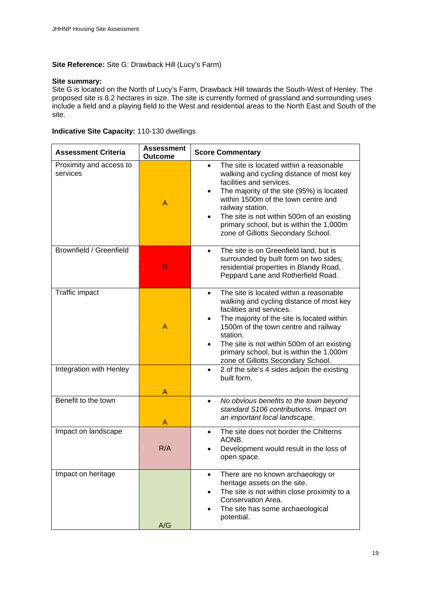#### **Site Reference:** Site G: Drawback Hill (Lucy's Farm)

#### **Site summary:**

Site G is located on the North of Lucy's Farm, Drawback Hill towards the South-West of Henley. The proposed site is 8.2 hectares in size. The site is currently formed of grassland and surrounding uses include a field and a playing field to the West and residential areas to the North East and South of the site.

#### **Indicative Site Capacity:** 110-130 dwellings

| <b>Assessment Criteria</b>          | <b>Assessment</b><br><b>Outcome</b> | <b>Score Commentary</b>                                                                                                                                                                                                                                                                                                                                        |
|-------------------------------------|-------------------------------------|----------------------------------------------------------------------------------------------------------------------------------------------------------------------------------------------------------------------------------------------------------------------------------------------------------------------------------------------------------------|
| Proximity and access to<br>services | A                                   | The site is located within a reasonable<br>walking and cycling distance of most key<br>facilities and services.<br>The majority of the site (95%) is located<br>within 1500m of the town centre and<br>railway station.<br>The site is not within 500m of an existing<br>primary school, but is within the 1,000m<br>zone of Gillotts Secondary School.        |
| Brownfield / Greenfield             | R                                   | The site is on Greenfield land, but is<br>$\bullet$<br>surrounded by built form on two sides;<br>residential properties in Blandy Road,<br>Peppard Lane and Rotherfield Road.                                                                                                                                                                                  |
| Traffic impact                      | Α                                   | The site is located within a reasonable<br>$\bullet$<br>walking and cycling distance of most key<br>facilities and services.<br>The majority of the site is located within<br>1500m of the town centre and railway<br>station.<br>The site is not within 500m of an existing<br>primary school, but is within the 1,000m<br>zone of Gillotts Secondary School. |
| Integration with Henley             | Α                                   | 2 of the site's 4 sides adjoin the existing<br>$\bullet$<br>built form.                                                                                                                                                                                                                                                                                        |
| Benefit to the town                 | Α                                   | No obvious benefits to the town beyond<br>$\bullet$<br>standard S106 contributions. Impact on<br>an important local landscape.                                                                                                                                                                                                                                 |
| Impact on landscape                 | R/A                                 | The site does not border the Chilterns<br>$\bullet$<br>AONB.<br>Development would result in the loss of<br>open space.                                                                                                                                                                                                                                         |
| Impact on heritage                  | A/G                                 | There are no known archaeology or<br>٠<br>heritage assets on the site.<br>The site is not within close proximity to a<br>Conservation Area.<br>The site has some archaeological<br>potential.                                                                                                                                                                  |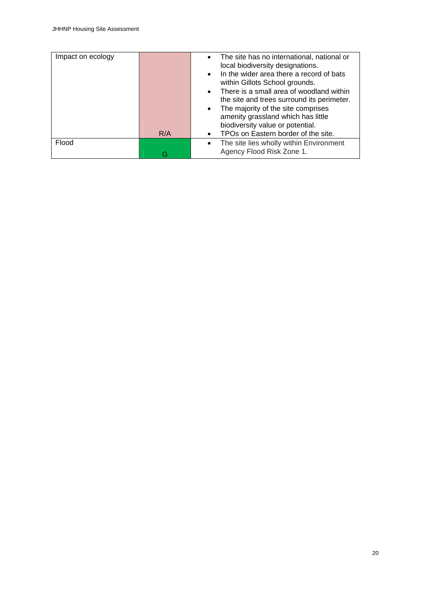| Impact on ecology |     | The site has no international, national or<br>local biodiversity designations.         |
|-------------------|-----|----------------------------------------------------------------------------------------|
|                   |     | In the wider area there a record of bats<br>within Gillots School grounds.             |
|                   |     | There is a small area of woodland within<br>the site and trees surround its perimeter. |
|                   |     | The majority of the site comprises<br>amenity grassland which has little               |
|                   |     | biodiversity value or potential.                                                       |
|                   | R/A | TPOs on Eastern border of the site.                                                    |
| Flood             |     | The site lies wholly within Environment                                                |
|                   | G – | Agency Flood Risk Zone 1.                                                              |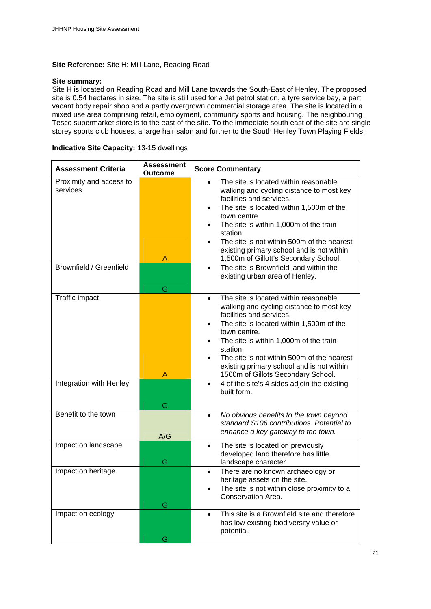#### **Site Reference:** Site H: Mill Lane, Reading Road

#### **Site summary:**

Site H is located on Reading Road and Mill Lane towards the South-East of Henley. The proposed site is 0.54 hectares in size. The site is still used for a Jet petrol station, a tyre service bay, a part vacant body repair shop and a partly overgrown commercial storage area. The site is located in a mixed use area comprising retail, employment, community sports and housing. The neighbouring Tesco supermarket store is to the east of the site. To the immediate south east of the site are single storey sports club houses, a large hair salon and further to the South Henley Town Playing Fields.

#### **Indicative Site Capacity:** 13-15 dwellings

| <b>Assessment Criteria</b>          | <b>Assessment</b><br><b>Outcome</b> | <b>Score Commentary</b>                                                                                                                                                                                                                                                                                                                                                       |
|-------------------------------------|-------------------------------------|-------------------------------------------------------------------------------------------------------------------------------------------------------------------------------------------------------------------------------------------------------------------------------------------------------------------------------------------------------------------------------|
| Proximity and access to<br>services | A                                   | The site is located within reasonable<br>walking and cycling distance to most key<br>facilities and services.<br>The site is located within 1,500m of the<br>٠<br>town centre.<br>The site is within 1,000m of the train<br>station.<br>The site is not within 500m of the nearest<br>existing primary school and is not within<br>1,500m of Gillott's Secondary School.      |
| Brownfield / Greenfield             | G                                   | The site is Brownfield land within the<br>$\bullet$<br>existing urban area of Henley.                                                                                                                                                                                                                                                                                         |
| Traffic impact                      | Α                                   | The site is located within reasonable<br>$\bullet$<br>walking and cycling distance to most key<br>facilities and services.<br>The site is located within 1,500m of the<br>town centre.<br>The site is within 1,000m of the train<br>station.<br>The site is not within 500m of the nearest<br>existing primary school and is not within<br>1500m of Gillots Secondary School. |
| <b>Integration with Henley</b>      | G                                   | 4 of the site's 4 sides adjoin the existing<br>$\bullet$<br>built form.                                                                                                                                                                                                                                                                                                       |
| Benefit to the town                 | A/G                                 | No obvious benefits to the town beyond<br>$\bullet$<br>standard S106 contributions. Potential to<br>enhance a key gateway to the town.                                                                                                                                                                                                                                        |
| Impact on landscape                 | G                                   | The site is located on previously<br>$\bullet$<br>developed land therefore has little<br>landscape character.                                                                                                                                                                                                                                                                 |
| Impact on heritage                  | G                                   | There are no known archaeology or<br>heritage assets on the site.<br>The site is not within close proximity to a<br>Conservation Area.                                                                                                                                                                                                                                        |
| Impact on ecology                   | G                                   | This site is a Brownfield site and therefore<br>$\bullet$<br>has low existing biodiversity value or<br>potential.                                                                                                                                                                                                                                                             |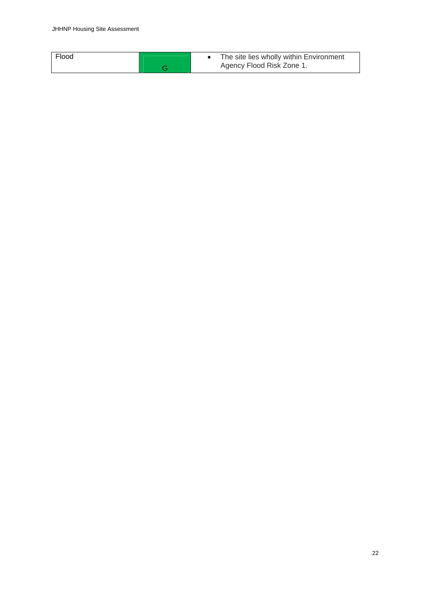|  | Flood |  | The site lies wholly within Environment<br>Agency Flood Risk Zone 1. |
|--|-------|--|----------------------------------------------------------------------|
|--|-------|--|----------------------------------------------------------------------|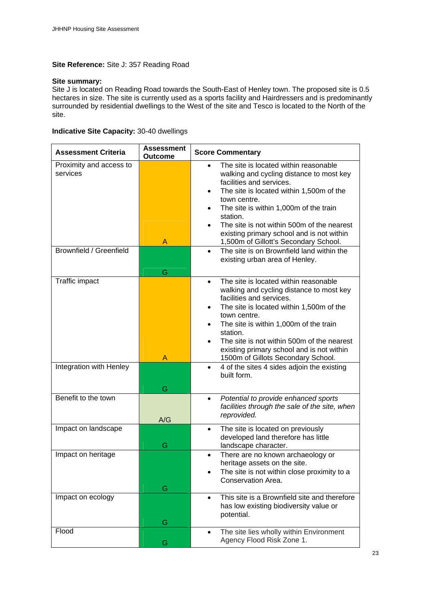#### **Site Reference:** Site J: 357 Reading Road

#### **Site summary:**

Site J is located on Reading Road towards the South-East of Henley town. The proposed site is 0.5 hectares in size. The site is currently used as a sports facility and Hairdressers and is predominantly surrounded by residential dwellings to the West of the site and Tesco is located to the North of the site.

#### **Indicative Site Capacity:** 30-40 dwellings

| <b>Assessment Criteria</b>          | <b>Assessment</b><br><b>Outcome</b> | <b>Score Commentary</b>                                                                                                                                                                                                                                                                                                                                                       |
|-------------------------------------|-------------------------------------|-------------------------------------------------------------------------------------------------------------------------------------------------------------------------------------------------------------------------------------------------------------------------------------------------------------------------------------------------------------------------------|
| Proximity and access to<br>services | A                                   | The site is located within reasonable<br>walking and cycling distance to most key<br>facilities and services.<br>The site is located within 1,500m of the<br>town centre.<br>The site is within 1,000m of the train<br>station.<br>The site is not within 500m of the nearest<br>existing primary school and is not within<br>1,500m of Gillott's Secondary School.           |
| Brownfield / Greenfield             | G                                   | The site is on Brownfield land within the<br>$\bullet$<br>existing urban area of Henley.                                                                                                                                                                                                                                                                                      |
| Traffic impact                      | Α                                   | The site is located within reasonable<br>$\bullet$<br>walking and cycling distance to most key<br>facilities and services.<br>The site is located within 1,500m of the<br>town centre.<br>The site is within 1,000m of the train<br>station.<br>The site is not within 500m of the nearest<br>existing primary school and is not within<br>1500m of Gillots Secondary School. |
| Integration with Henley             | G                                   | 4 of the sites 4 sides adjoin the existing<br>$\bullet$<br>built form.                                                                                                                                                                                                                                                                                                        |
| Benefit to the town                 | A/G                                 | Potential to provide enhanced sports<br>$\bullet$<br>facilities through the sale of the site, when<br>reprovided.                                                                                                                                                                                                                                                             |
| Impact on landscape                 | G                                   | The site is located on previously<br>$\bullet$<br>developed land therefore has little<br>landscape character.                                                                                                                                                                                                                                                                 |
| Impact on heritage                  | G                                   | There are no known archaeology or<br>$\bullet$<br>heritage assets on the site.<br>The site is not within close proximity to a<br>Conservation Area.                                                                                                                                                                                                                           |
| Impact on ecology                   | G                                   | This site is a Brownfield site and therefore<br>$\bullet$<br>has low existing biodiversity value or<br>potential.                                                                                                                                                                                                                                                             |
| Flood                               | G                                   | The site lies wholly within Environment<br>$\bullet$<br>Agency Flood Risk Zone 1.                                                                                                                                                                                                                                                                                             |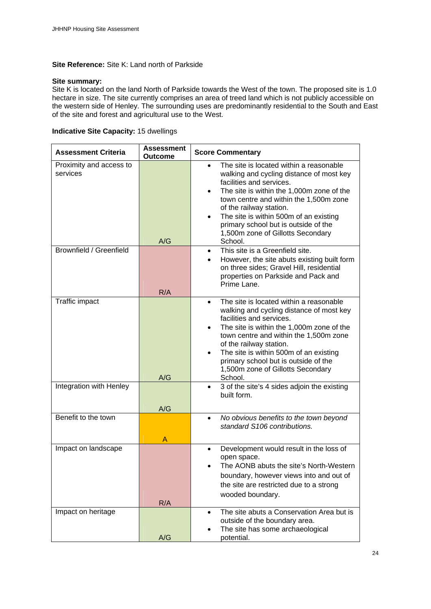#### **Site Reference:** Site K: Land north of Parkside

#### **Site summary:**

Site K is located on the land North of Parkside towards the West of the town. The proposed site is 1.0 hectare in size. The site currently comprises an area of treed land which is not publicly accessible on the western side of Henley. The surrounding uses are predominantly residential to the South and East of the site and forest and agricultural use to the West.

#### **Indicative Site Capacity:** 15 dwellings

| <b>Assessment Criteria</b>          | <b>Assessment</b><br><b>Outcome</b> | <b>Score Commentary</b>                                                                                                                                                                                                                                                                                                                                                                                    |
|-------------------------------------|-------------------------------------|------------------------------------------------------------------------------------------------------------------------------------------------------------------------------------------------------------------------------------------------------------------------------------------------------------------------------------------------------------------------------------------------------------|
| Proximity and access to<br>services | A/G                                 | The site is located within a reasonable<br>walking and cycling distance of most key<br>facilities and services.<br>The site is within the 1,000m zone of the<br>town centre and within the 1,500m zone<br>of the railway station.<br>The site is within 500m of an existing<br>primary school but is outside of the<br>1,500m zone of Gillotts Secondary<br>School.                                        |
| Brownfield / Greenfield             | R/A                                 | This site is a Greenfield site.<br>$\bullet$<br>However, the site abuts existing built form<br>on three sides; Gravel Hill, residential<br>properties on Parkside and Pack and<br>Prime Lane.                                                                                                                                                                                                              |
| Traffic impact                      | A/G                                 | The site is located within a reasonable<br>$\bullet$<br>walking and cycling distance of most key<br>facilities and services.<br>The site is within the 1,000m zone of the<br>$\bullet$<br>town centre and within the 1,500m zone<br>of the railway station.<br>The site is within 500m of an existing<br>$\bullet$<br>primary school but is outside of the<br>1,500m zone of Gillotts Secondary<br>School. |
| Integration with Henley             | A/G                                 | 3 of the site's 4 sides adjoin the existing<br>$\bullet$<br>built form.                                                                                                                                                                                                                                                                                                                                    |
| Benefit to the town                 | Α                                   | No obvious benefits to the town beyond<br>$\bullet$<br>standard S106 contributions.                                                                                                                                                                                                                                                                                                                        |
| Impact on landscape                 | R/A                                 | Development would result in the loss of<br>open space.<br>The AONB abuts the site's North-Western<br>boundary, however views into and out of<br>the site are restricted due to a strong<br>wooded boundary.                                                                                                                                                                                                |
| Impact on heritage                  | A/G                                 | The site abuts a Conservation Area but is<br>$\bullet$<br>outside of the boundary area.<br>The site has some archaeological<br>potential.                                                                                                                                                                                                                                                                  |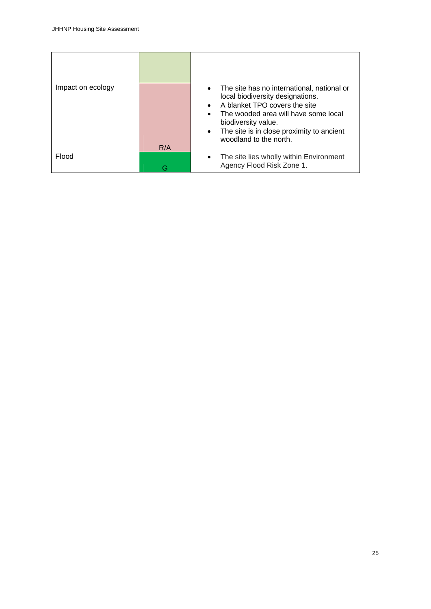| Impact on ecology | R/A | The site has no international, national or<br>$\bullet$<br>local biodiversity designations.<br>A blanket TPO covers the site<br>The wooded area will have some local<br>biodiversity value.<br>The site is in close proximity to ancient<br>$\bullet$<br>woodland to the north. |
|-------------------|-----|---------------------------------------------------------------------------------------------------------------------------------------------------------------------------------------------------------------------------------------------------------------------------------|
| Flood             |     | The site lies wholly within Environment<br>Agency Flood Risk Zone 1.                                                                                                                                                                                                            |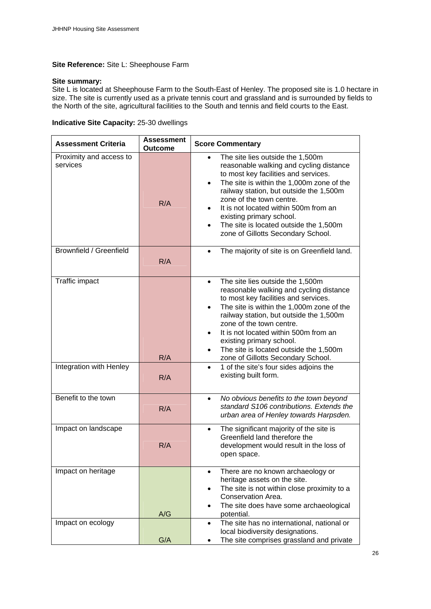#### **Site Reference:** Site L: Sheephouse Farm

#### **Site summary:**

Site L is located at Sheephouse Farm to the South-East of Henley. The proposed site is 1.0 hectare in size. The site is currently used as a private tennis court and grassland and is surrounded by fields to the North of the site, agricultural facilities to the South and tennis and field courts to the East.

|  |  | <b>Indicative Site Capacity: 25-30 dwellings</b> |
|--|--|--------------------------------------------------|
|--|--|--------------------------------------------------|

| <b>Assessment Criteria</b>          | <b>Assessment</b><br><b>Outcome</b> | <b>Score Commentary</b>                                                                                                                                                                                                                                                                                                                                                                                                             |
|-------------------------------------|-------------------------------------|-------------------------------------------------------------------------------------------------------------------------------------------------------------------------------------------------------------------------------------------------------------------------------------------------------------------------------------------------------------------------------------------------------------------------------------|
| Proximity and access to<br>services | R/A                                 | The site lies outside the 1,500m<br>$\bullet$<br>reasonable walking and cycling distance<br>to most key facilities and services.<br>The site is within the 1,000m zone of the<br>railway station, but outside the 1,500m<br>zone of the town centre.<br>It is not located within 500m from an<br>existing primary school.<br>The site is located outside the 1,500m<br>$\bullet$<br>zone of Gillotts Secondary School.              |
| <b>Brownfield / Greenfield</b>      | R/A                                 | The majority of site is on Greenfield land.<br>$\bullet$                                                                                                                                                                                                                                                                                                                                                                            |
| Traffic impact                      | R/A                                 | The site lies outside the 1,500m<br>$\bullet$<br>reasonable walking and cycling distance<br>to most key facilities and services.<br>The site is within the 1,000m zone of the<br>$\bullet$<br>railway station, but outside the 1,500m<br>zone of the town centre.<br>It is not located within 500m from an<br>existing primary school.<br>The site is located outside the 1,500m<br>$\bullet$<br>zone of Gillotts Secondary School. |
| Integration with Henley             | R/A                                 | 1 of the site's four sides adjoins the<br>$\bullet$<br>existing built form.                                                                                                                                                                                                                                                                                                                                                         |
| Benefit to the town                 | R/A                                 | No obvious benefits to the town beyond<br>$\bullet$<br>standard S106 contributions. Extends the<br>urban area of Henley towards Harpsden.                                                                                                                                                                                                                                                                                           |
| Impact on landscape                 | R/A                                 | The significant majority of the site is<br>$\bullet$<br>Greenfield land therefore the<br>development would result in the loss of<br>open space.                                                                                                                                                                                                                                                                                     |
| Impact on heritage                  | A/G                                 | There are no known archaeology or<br>$\bullet$<br>heritage assets on the site.<br>The site is not within close proximity to a<br>$\bullet$<br>Conservation Area.<br>The site does have some archaeological<br>potential.                                                                                                                                                                                                            |
| Impact on ecology                   | G/A                                 | The site has no international, national or<br>$\bullet$<br>local biodiversity designations.<br>The site comprises grassland and private                                                                                                                                                                                                                                                                                             |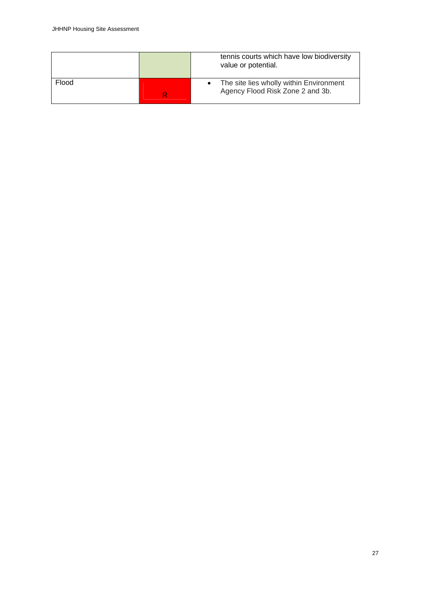|       | tennis courts which have low biodiversity<br>value or potential.            |
|-------|-----------------------------------------------------------------------------|
| Flood | The site lies wholly within Environment<br>Agency Flood Risk Zone 2 and 3b. |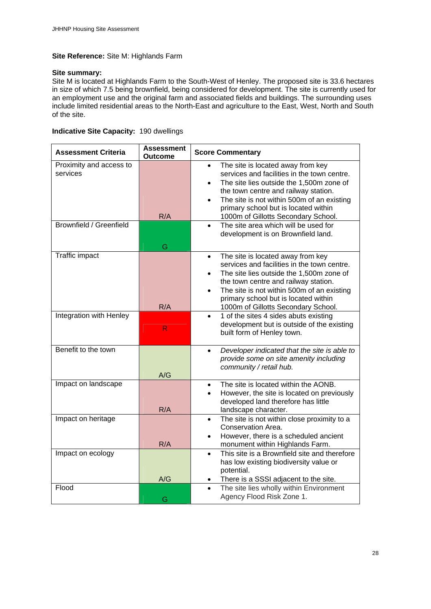#### **Site Reference:** Site M: Highlands Farm

#### **Site summary:**

Site M is located at Highlands Farm to the South-West of Henley. The proposed site is 33.6 hectares in size of which 7.5 being brownfield, being considered for development. The site is currently used for an employment use and the original farm and associated fields and buildings. The surrounding uses include limited residential areas to the North-East and agriculture to the East, West, North and South of the site.

#### **Indicative Site Capacity:** 190 dwellings

| <b>Assessment Criteria</b>          | <b>Assessment</b><br><b>Outcome</b> | <b>Score Commentary</b>                                                                                                                                                                                                                                                                                                                  |
|-------------------------------------|-------------------------------------|------------------------------------------------------------------------------------------------------------------------------------------------------------------------------------------------------------------------------------------------------------------------------------------------------------------------------------------|
| Proximity and access to<br>services | R/A                                 | The site is located away from key<br>$\bullet$<br>services and facilities in the town centre.<br>The site lies outside the 1,500m zone of<br>$\bullet$<br>the town centre and railway station.<br>The site is not within 500m of an existing<br>$\bullet$<br>primary school but is located within<br>1000m of Gillotts Secondary School. |
| <b>Brownfield / Greenfield</b>      | G                                   | The site area which will be used for<br>$\bullet$<br>development is on Brownfield land.                                                                                                                                                                                                                                                  |
| <b>Traffic impact</b>               | R/A                                 | The site is located away from key<br>$\bullet$<br>services and facilities in the town centre.<br>The site lies outside the 1,500m zone of<br>the town centre and railway station.<br>The site is not within 500m of an existing<br>$\bullet$<br>primary school but is located within<br>1000m of Gillotts Secondary School.              |
| Integration with Henley             | R                                   | 1 of the sites 4 sides abuts existing<br>$\bullet$<br>development but is outside of the existing<br>built form of Henley town.                                                                                                                                                                                                           |
| Benefit to the town                 | A/G                                 | Developer indicated that the site is able to<br>$\bullet$<br>provide some on site amenity including<br>community / retail hub.                                                                                                                                                                                                           |
| Impact on landscape                 | R/A                                 | The site is located within the AONB.<br>$\bullet$<br>However, the site is located on previously<br>developed land therefore has little<br>landscape character.                                                                                                                                                                           |
| Impact on heritage                  | R/A                                 | The site is not within close proximity to a<br>$\bullet$<br>Conservation Area.<br>However, there is a scheduled ancient<br>monument within Highlands Farm.                                                                                                                                                                               |
| Impact on ecology                   | A/G                                 | This site is a Brownfield site and therefore<br>$\bullet$<br>has low existing biodiversity value or<br>potential.<br>There is a SSSI adjacent to the site.                                                                                                                                                                               |
| Flood                               | G                                   | The site lies wholly within Environment<br>$\bullet$<br>Agency Flood Risk Zone 1.                                                                                                                                                                                                                                                        |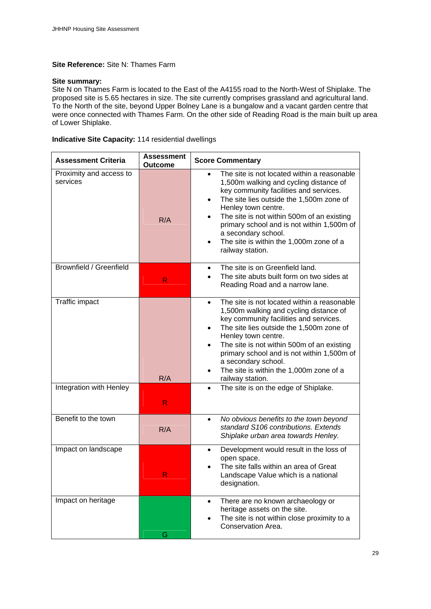#### **Site Reference:** Site N: Thames Farm

#### **Site summary:**

Site N on Thames Farm is located to the East of the A4155 road to the North-West of Shiplake. The proposed site is 5.65 hectares in size. The site currently comprises grassland and agricultural land. To the North of the site, beyond Upper Bolney Lane is a bungalow and a vacant garden centre that were once connected with Thames Farm. On the other side of Reading Road is the main built up area of Lower Shiplake.

#### **Indicative Site Capacity:** 114 residential dwellings

| <b>Assessment Criteria</b>          | <b>Assessment</b><br><b>Outcome</b> | <b>Score Commentary</b>                                                                                                                                                                                                                                                                                                                                                                                                     |
|-------------------------------------|-------------------------------------|-----------------------------------------------------------------------------------------------------------------------------------------------------------------------------------------------------------------------------------------------------------------------------------------------------------------------------------------------------------------------------------------------------------------------------|
| Proximity and access to<br>services | R/A                                 | The site is not located within a reasonable<br>$\bullet$<br>1,500m walking and cycling distance of<br>key community facilities and services.<br>The site lies outside the 1,500m zone of<br>Henley town centre.<br>The site is not within 500m of an existing<br>$\bullet$<br>primary school and is not within 1,500m of<br>a secondary school.<br>The site is within the 1,000m zone of a<br>$\bullet$<br>railway station. |
| Brownfield / Greenfield             | R                                   | The site is on Greenfield land.<br>$\bullet$<br>The site abuts built form on two sides at<br>Reading Road and a narrow lane.                                                                                                                                                                                                                                                                                                |
| Traffic impact                      | R/A                                 | The site is not located within a reasonable<br>$\bullet$<br>1,500m walking and cycling distance of<br>key community facilities and services.<br>The site lies outside the 1,500m zone of<br>$\bullet$<br>Henley town centre.<br>The site is not within 500m of an existing<br>$\bullet$<br>primary school and is not within 1,500m of<br>a secondary school.<br>The site is within the 1,000m zone of a<br>railway station. |
| Integration with Henley             | R.                                  | The site is on the edge of Shiplake.<br>$\bullet$                                                                                                                                                                                                                                                                                                                                                                           |
| Benefit to the town                 | R/A                                 | No obvious benefits to the town beyond<br>$\bullet$<br>standard S106 contributions. Extends<br>Shiplake urban area towards Henley.                                                                                                                                                                                                                                                                                          |
| Impact on landscape                 | R                                   | Development would result in the loss of<br>$\bullet$<br>open space.<br>The site falls within an area of Great<br>Landscape Value which is a national<br>designation.                                                                                                                                                                                                                                                        |
| Impact on heritage                  | G                                   | There are no known archaeology or<br>$\bullet$<br>heritage assets on the site.<br>The site is not within close proximity to a<br>Conservation Area.                                                                                                                                                                                                                                                                         |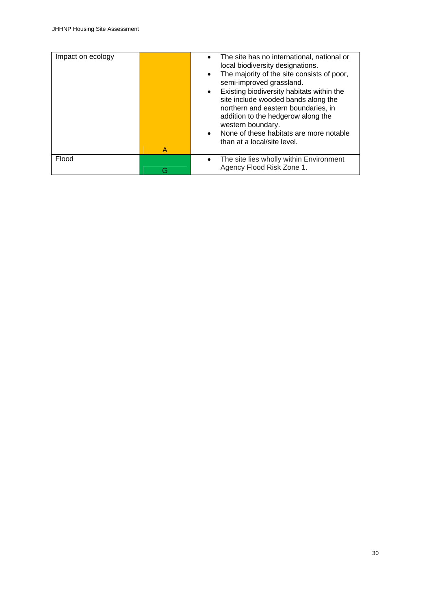| Impact on ecology |   | The site has no international, national or<br>local biodiversity designations.<br>The majority of the site consists of poor,<br>semi-improved grassland.<br>Existing biodiversity habitats within the<br>site include wooded bands along the<br>northern and eastern boundaries, in<br>addition to the hedgerow along the<br>western boundary.<br>None of these habitats are more notable<br>than at a local/site level. |
|-------------------|---|--------------------------------------------------------------------------------------------------------------------------------------------------------------------------------------------------------------------------------------------------------------------------------------------------------------------------------------------------------------------------------------------------------------------------|
|                   | A |                                                                                                                                                                                                                                                                                                                                                                                                                          |
| Flood             |   | The site lies wholly within Environment<br>Agency Flood Risk Zone 1.                                                                                                                                                                                                                                                                                                                                                     |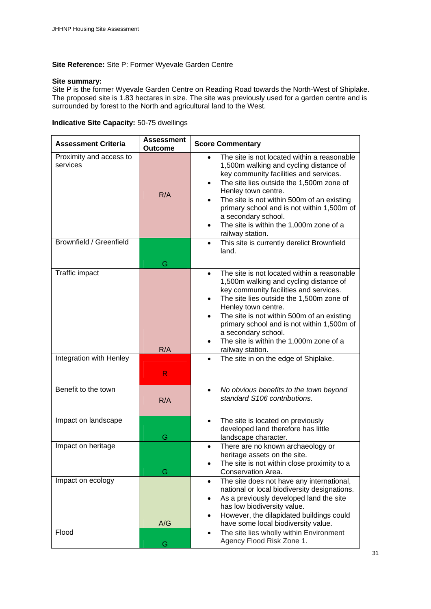#### **Site Reference:** Site P: Former Wyevale Garden Centre

#### **Site summary:**

Site P is the former Wyevale Garden Centre on Reading Road towards the North-West of Shiplake. The proposed site is 1.83 hectares in size. The site was previously used for a garden centre and is surrounded by forest to the North and agricultural land to the West.

### **Indicative Site Capacity:** 50-75 dwellings

| <b>Assessment Criteria</b>          | <b>Assessment</b><br><b>Outcome</b> | <b>Score Commentary</b>                                                                                                                                                                                                                                                                                                                                                                                        |
|-------------------------------------|-------------------------------------|----------------------------------------------------------------------------------------------------------------------------------------------------------------------------------------------------------------------------------------------------------------------------------------------------------------------------------------------------------------------------------------------------------------|
| Proximity and access to<br>services | R/A                                 | The site is not located within a reasonable<br>$\bullet$<br>1,500m walking and cycling distance of<br>key community facilities and services.<br>The site lies outside the 1,500m zone of<br>Henley town centre.<br>The site is not within 500m of an existing<br>primary school and is not within 1,500m of<br>a secondary school.<br>The site is within the 1,000m zone of a<br>railway station.              |
| Brownfield / Greenfield             | G                                   | This site is currently derelict Brownfield<br>$\bullet$<br>land.                                                                                                                                                                                                                                                                                                                                               |
| Traffic impact                      | R/A                                 | The site is not located within a reasonable<br>$\bullet$<br>1,500m walking and cycling distance of<br>key community facilities and services.<br>The site lies outside the 1,500m zone of<br>Henley town centre.<br>The site is not within 500m of an existing<br>$\bullet$<br>primary school and is not within 1,500m of<br>a secondary school.<br>The site is within the 1,000m zone of a<br>railway station. |
| Integration with Henley             | R                                   | The site in on the edge of Shiplake.<br>$\bullet$                                                                                                                                                                                                                                                                                                                                                              |
| Benefit to the town                 | R/A                                 | No obvious benefits to the town beyond<br>$\bullet$<br>standard S106 contributions.                                                                                                                                                                                                                                                                                                                            |
| Impact on landscape                 | G                                   | The site is located on previously<br>$\bullet$<br>developed land therefore has little<br>landscape character.                                                                                                                                                                                                                                                                                                  |
| Impact on heritage                  | G                                   | There are no known archaeology or<br>heritage assets on the site.<br>The site is not within close proximity to a<br>Conservation Area.                                                                                                                                                                                                                                                                         |
| Impact on ecology                   | A/G                                 | The site does not have any international,<br>$\bullet$<br>national or local biodiversity designations.<br>As a previously developed land the site<br>$\bullet$<br>has low biodiversity value.<br>However, the dilapidated buildings could<br>$\bullet$<br>have some local biodiversity value.                                                                                                                  |
| Flood                               | G                                   | The site lies wholly within Environment<br>$\bullet$<br>Agency Flood Risk Zone 1.                                                                                                                                                                                                                                                                                                                              |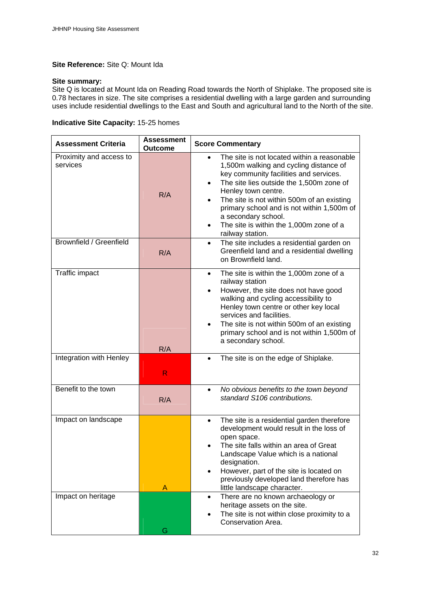#### **Site Reference:** Site Q: Mount Ida

#### **Site summary:**

Site Q is located at Mount Ida on Reading Road towards the North of Shiplake. The proposed site is 0.78 hectares in size. The site comprises a residential dwelling with a large garden and surrounding uses include residential dwellings to the East and South and agricultural land to the North of the site.

|  |  | <b>Indicative Site Capacity: 15-25 homes</b> |  |  |
|--|--|----------------------------------------------|--|--|
|--|--|----------------------------------------------|--|--|

| <b>Assessment Criteria</b>          | <b>Assessment</b><br><b>Outcome</b> | <b>Score Commentary</b>                                                                                                                                                                                                                                                                                                                                                                           |
|-------------------------------------|-------------------------------------|---------------------------------------------------------------------------------------------------------------------------------------------------------------------------------------------------------------------------------------------------------------------------------------------------------------------------------------------------------------------------------------------------|
| Proximity and access to<br>services | R/A                                 | The site is not located within a reasonable<br>$\bullet$<br>1,500m walking and cycling distance of<br>key community facilities and services.<br>The site lies outside the 1,500m zone of<br>Henley town centre.<br>The site is not within 500m of an existing<br>primary school and is not within 1,500m of<br>a secondary school.<br>The site is within the 1,000m zone of a<br>railway station. |
| Brownfield / Greenfield             | R/A                                 | The site includes a residential garden on<br>$\bullet$<br>Greenfield land and a residential dwelling<br>on Brownfield land.                                                                                                                                                                                                                                                                       |
| Traffic impact                      | R/A                                 | The site is within the 1,000m zone of a<br>$\bullet$<br>railway station<br>However, the site does not have good<br>walking and cycling accessibility to<br>Henley town centre or other key local<br>services and facilities.<br>The site is not within 500m of an existing<br>primary school and is not within 1,500m of<br>a secondary school.                                                   |
| Integration with Henley             | R                                   | The site is on the edge of Shiplake.<br>$\bullet$                                                                                                                                                                                                                                                                                                                                                 |
| Benefit to the town                 | R/A                                 | No obvious benefits to the town beyond<br>$\bullet$<br>standard S106 contributions.                                                                                                                                                                                                                                                                                                               |
| Impact on landscape                 | A                                   | The site is a residential garden therefore<br>$\bullet$<br>development would result in the loss of<br>open space.<br>The site falls within an area of Great<br>Landscape Value which is a national<br>designation.<br>However, part of the site is located on<br>previously developed land therefore has<br>little landscape character.                                                           |
| Impact on heritage                  | G                                   | There are no known archaeology or<br>$\bullet$<br>heritage assets on the site.<br>The site is not within close proximity to a<br>Conservation Area.                                                                                                                                                                                                                                               |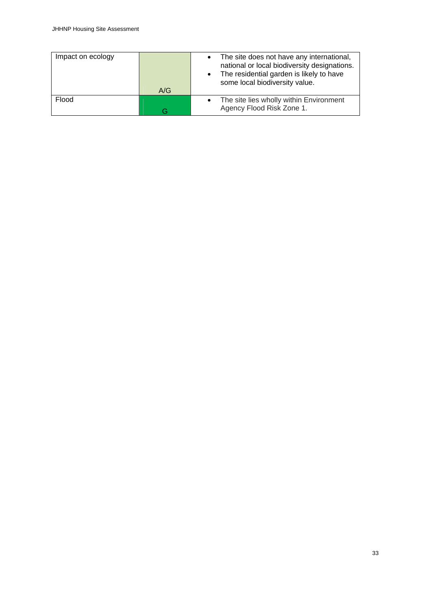| Impact on ecology |     | The site does not have any international,<br>national or local biodiversity designations.<br>The residential garden is likely to have<br>some local biodiversity value. |
|-------------------|-----|-------------------------------------------------------------------------------------------------------------------------------------------------------------------------|
|                   | A/G |                                                                                                                                                                         |
| Flood             | G   | The site lies wholly within Environment<br>Agency Flood Risk Zone 1.                                                                                                    |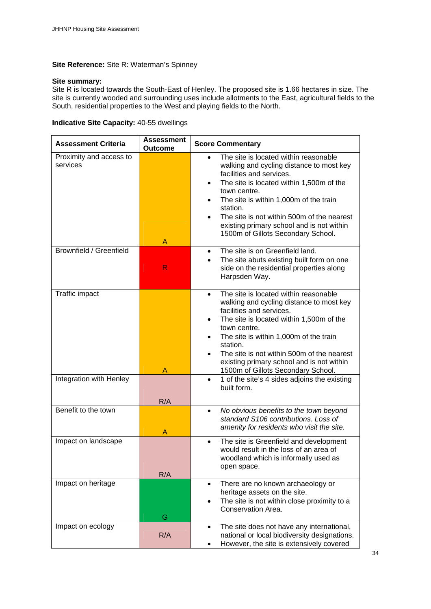#### **Site Reference:** Site R: Waterman's Spinney

#### **Site summary:**

Site R is located towards the South-East of Henley. The proposed site is 1.66 hectares in size. The site is currently wooded and surrounding uses include allotments to the East, agricultural fields to the South, residential properties to the West and playing fields to the North.

| Indicative Site Capacity: 40-55 dwellings |  |  |  |
|-------------------------------------------|--|--|--|
|                                           |  |  |  |

| <b>Assessment Criteria</b>          | <b>Assessment</b><br><b>Outcome</b> | <b>Score Commentary</b>                                                                                                                                                                                                                                                                                                                                                       |
|-------------------------------------|-------------------------------------|-------------------------------------------------------------------------------------------------------------------------------------------------------------------------------------------------------------------------------------------------------------------------------------------------------------------------------------------------------------------------------|
| Proximity and access to<br>services | A                                   | The site is located within reasonable<br>walking and cycling distance to most key<br>facilities and services.<br>The site is located within 1,500m of the<br>town centre.<br>The site is within 1,000m of the train<br>station.<br>The site is not within 500m of the nearest<br>existing primary school and is not within<br>1500m of Gillots Secondary School.              |
| Brownfield / Greenfield             | R                                   | The site is on Greenfield land.<br>$\bullet$<br>The site abuts existing built form on one<br>side on the residential properties along<br>Harpsden Way.                                                                                                                                                                                                                        |
| Traffic impact                      | A                                   | The site is located within reasonable<br>$\bullet$<br>walking and cycling distance to most key<br>facilities and services.<br>The site is located within 1,500m of the<br>town centre.<br>The site is within 1,000m of the train<br>station.<br>The site is not within 500m of the nearest<br>existing primary school and is not within<br>1500m of Gillots Secondary School. |
| Integration with Henley             | R/A                                 | 1 of the site's 4 sides adjoins the existing<br>$\bullet$<br>built form.                                                                                                                                                                                                                                                                                                      |
| Benefit to the town                 | Α                                   | No obvious benefits to the town beyond<br>$\bullet$<br>standard S106 contributions. Loss of<br>amenity for residents who visit the site.                                                                                                                                                                                                                                      |
| Impact on landscape                 | R/A                                 | The site is Greenfield and development<br>$\bullet$<br>would result in the loss of an area of<br>woodland which is informally used as<br>open space.                                                                                                                                                                                                                          |
| Impact on heritage                  | G                                   | There are no known archaeology or<br>$\bullet$<br>heritage assets on the site.<br>The site is not within close proximity to a<br>Conservation Area.                                                                                                                                                                                                                           |
| Impact on ecology                   | R/A                                 | The site does not have any international,<br>٠<br>national or local biodiversity designations.<br>However, the site is extensively covered                                                                                                                                                                                                                                    |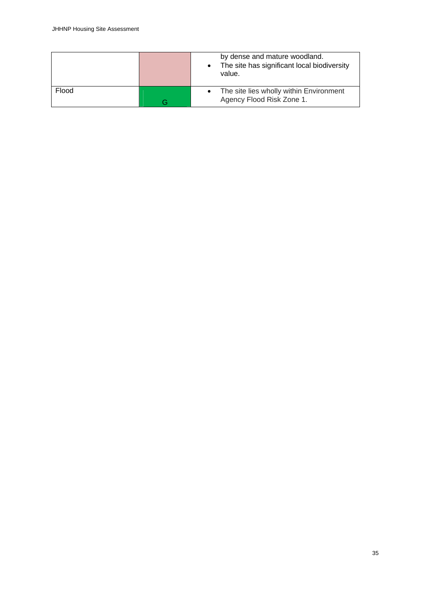|       | by dense and mature woodland.<br>The site has significant local biodiversity<br>value. |
|-------|----------------------------------------------------------------------------------------|
| Flood | The site lies wholly within Environment<br>Agency Flood Risk Zone 1.                   |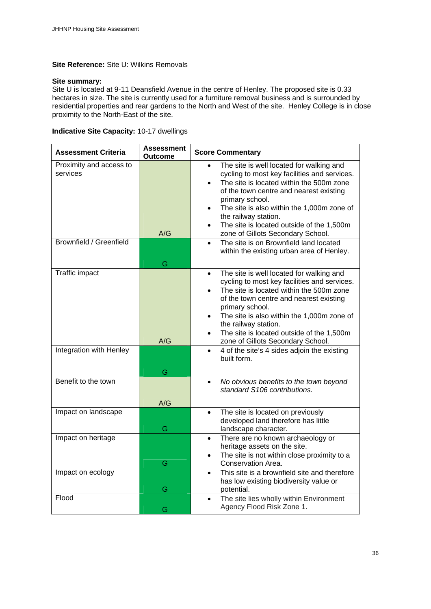#### **Site Reference:** Site U: Wilkins Removals

#### **Site summary:**

Site U is located at 9-11 Deansfield Avenue in the centre of Henley. The proposed site is 0.33 hectares in size. The site is currently used for a furniture removal business and is surrounded by residential properties and rear gardens to the North and West of the site. Henley College is in close proximity to the North-East of the site.

#### **Indicative Site Capacity:** 10-17 dwellings

| <b>Assessment Criteria</b> | <b>Assessment</b><br><b>Outcome</b> | <b>Score Commentary</b>                                            |
|----------------------------|-------------------------------------|--------------------------------------------------------------------|
| Proximity and access to    |                                     | The site is well located for walking and<br>$\bullet$              |
| services                   |                                     | cycling to most key facilities and services.                       |
|                            |                                     | The site is located within the 500m zone                           |
|                            |                                     | of the town centre and nearest existing                            |
|                            |                                     | primary school.                                                    |
|                            |                                     |                                                                    |
|                            |                                     | The site is also within the 1,000m zone of<br>the railway station. |
|                            |                                     | The site is located outside of the 1,500m<br>$\bullet$             |
|                            | A/G                                 | zone of Gillots Secondary School.                                  |
| Brownfield / Greenfield    |                                     | The site is on Brownfield land located<br>$\bullet$                |
|                            |                                     | within the existing urban area of Henley.                          |
|                            | G                                   |                                                                    |
| Traffic impact             |                                     | The site is well located for walking and<br>$\bullet$              |
|                            |                                     | cycling to most key facilities and services.                       |
|                            |                                     | The site is located within the 500m zone                           |
|                            |                                     | of the town centre and nearest existing                            |
|                            |                                     | primary school.                                                    |
|                            |                                     | The site is also within the 1,000m zone of                         |
|                            |                                     | the railway station.                                               |
|                            |                                     | The site is located outside of the 1,500m<br>$\bullet$             |
|                            | A/G                                 | zone of Gillots Secondary School.                                  |
| Integration with Henley    |                                     | 4 of the site's 4 sides adjoin the existing<br>$\bullet$           |
|                            |                                     | built form.                                                        |
|                            | G                                   |                                                                    |
| Benefit to the town        |                                     |                                                                    |
|                            |                                     | No obvious benefits to the town beyond<br>$\bullet$                |
|                            |                                     | standard S106 contributions.                                       |
|                            | A/G                                 |                                                                    |
| Impact on landscape        |                                     | The site is located on previously<br>$\bullet$                     |
|                            |                                     | developed land therefore has little                                |
|                            | G                                   | landscape character.                                               |
| Impact on heritage         |                                     | There are no known archaeology or<br>$\bullet$                     |
|                            |                                     | heritage assets on the site.                                       |
|                            |                                     | The site is not within close proximity to a                        |
|                            | G                                   | Conservation Area.                                                 |
| Impact on ecology          |                                     | This site is a brownfield site and therefore<br>$\bullet$          |
|                            |                                     | has low existing biodiversity value or                             |
|                            | G                                   | potential.                                                         |
| Flood                      |                                     | The site lies wholly within Environment<br>$\bullet$               |
|                            | G                                   | Agency Flood Risk Zone 1.                                          |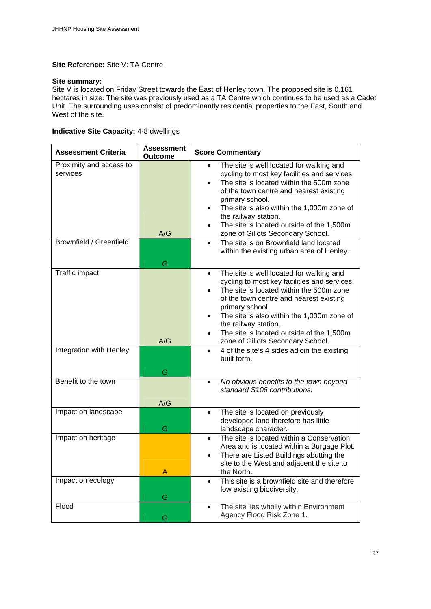#### **Site Reference:** Site V: TA Centre

#### **Site summary:**

Site V is located on Friday Street towards the East of Henley town. The proposed site is 0.161 hectares in size. The site was previously used as a TA Centre which continues to be used as a Cadet Unit. The surrounding uses consist of predominantly residential properties to the East, South and West of the site.

#### **Indicative Site Capacity:** 4-8 dwellings

| <b>Assessment Criteria</b>          | <b>Assessment</b><br><b>Outcome</b> | <b>Score Commentary</b>                                                                                                                                                                                                                                                                                                                                                 |
|-------------------------------------|-------------------------------------|-------------------------------------------------------------------------------------------------------------------------------------------------------------------------------------------------------------------------------------------------------------------------------------------------------------------------------------------------------------------------|
| Proximity and access to<br>services | A/G                                 | The site is well located for walking and<br>$\bullet$<br>cycling to most key facilities and services.<br>The site is located within the 500m zone<br>of the town centre and nearest existing<br>primary school.<br>The site is also within the 1,000m zone of<br>the railway station.<br>The site is located outside of the 1,500m<br>zone of Gillots Secondary School. |
| Brownfield / Greenfield             | G                                   | The site is on Brownfield land located<br>$\bullet$<br>within the existing urban area of Henley.                                                                                                                                                                                                                                                                        |
| <b>Traffic impact</b>               |                                     | The site is well located for walking and<br>$\bullet$<br>cycling to most key facilities and services.<br>The site is located within the 500m zone<br>of the town centre and nearest existing<br>primary school.<br>The site is also within the 1,000m zone of<br>the railway station.<br>The site is located outside of the 1,500m                                      |
| Integration with Henley             | A/G<br>G                            | zone of Gillots Secondary School.<br>4 of the site's 4 sides adjoin the existing<br>built form.                                                                                                                                                                                                                                                                         |
| Benefit to the town                 | A/G                                 | No obvious benefits to the town beyond<br>$\bullet$<br>standard S106 contributions.                                                                                                                                                                                                                                                                                     |
| Impact on landscape                 | G                                   | The site is located on previously<br>$\bullet$<br>developed land therefore has little<br>landscape character.                                                                                                                                                                                                                                                           |
| Impact on heritage                  | А                                   | The site is located within a Conservation<br>$\bullet$<br>Area and is located within a Burgage Plot.<br>There are Listed Buildings abutting the<br>site to the West and adjacent the site to<br>the North.                                                                                                                                                              |
| Impact on ecology                   | G                                   | This site is a brownfield site and therefore<br>$\bullet$<br>low existing biodiversity.                                                                                                                                                                                                                                                                                 |
| Flood                               | G                                   | The site lies wholly within Environment<br>$\bullet$<br>Agency Flood Risk Zone 1.                                                                                                                                                                                                                                                                                       |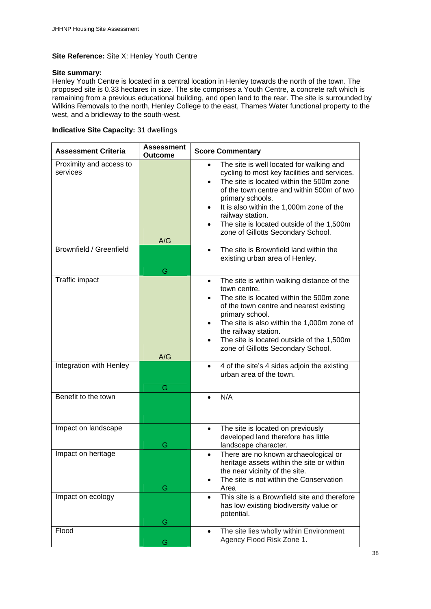#### **Site Reference:** Site X: Henley Youth Centre

#### **Site summary:**

Henley Youth Centre is located in a central location in Henley towards the north of the town. The proposed site is 0.33 hectares in size. The site comprises a Youth Centre, a concrete raft which is remaining from a previous educational building, and open land to the rear. The site is surrounded by Wilkins Removals to the north, Henley College to the east, Thames Water functional property to the west, and a bridleway to the south-west.

#### **Indicative Site Capacity:** 31 dwellings

| <b>Assessment Criteria</b>          | <b>Assessment</b><br><b>Outcome</b> | <b>Score Commentary</b>                                                                                                                                                                                                                                                                                                                                               |
|-------------------------------------|-------------------------------------|-----------------------------------------------------------------------------------------------------------------------------------------------------------------------------------------------------------------------------------------------------------------------------------------------------------------------------------------------------------------------|
| Proximity and access to<br>services | A/G                                 | The site is well located for walking and<br>$\bullet$<br>cycling to most key facilities and services.<br>The site is located within the 500m zone<br>of the town centre and within 500m of two<br>primary schools.<br>It is also within the 1,000m zone of the<br>railway station.<br>The site is located outside of the 1,500m<br>zone of Gillotts Secondary School. |
| <b>Brownfield / Greenfield</b>      | G                                   | The site is Brownfield land within the<br>existing urban area of Henley.                                                                                                                                                                                                                                                                                              |
| Traffic impact                      |                                     | The site is within walking distance of the<br>$\bullet$<br>town centre.<br>The site is located within the 500m zone<br>of the town centre and nearest existing<br>primary school.<br>The site is also within the 1,000m zone of<br>the railway station.<br>The site is located outside of the 1,500m<br>zone of Gillotts Secondary School.                            |
|                                     | A/G                                 |                                                                                                                                                                                                                                                                                                                                                                       |
| Integration with Henley             | G                                   | 4 of the site's 4 sides adjoin the existing<br>$\bullet$<br>urban area of the town.                                                                                                                                                                                                                                                                                   |
| Benefit to the town                 |                                     | N/A                                                                                                                                                                                                                                                                                                                                                                   |
| Impact on landscape                 | G                                   | The site is located on previously<br>developed land therefore has little<br>landscape character.                                                                                                                                                                                                                                                                      |
| Impact on heritage                  | G                                   | There are no known archaeological or<br>heritage assets within the site or within<br>the near vicinity of the site.<br>The site is not within the Conservation<br>Area                                                                                                                                                                                                |
| Impact on ecology                   | G                                   | This site is a Brownfield site and therefore<br>has low existing biodiversity value or<br>potential.                                                                                                                                                                                                                                                                  |
| Flood                               | G                                   | The site lies wholly within Environment<br>$\bullet$<br>Agency Flood Risk Zone 1.                                                                                                                                                                                                                                                                                     |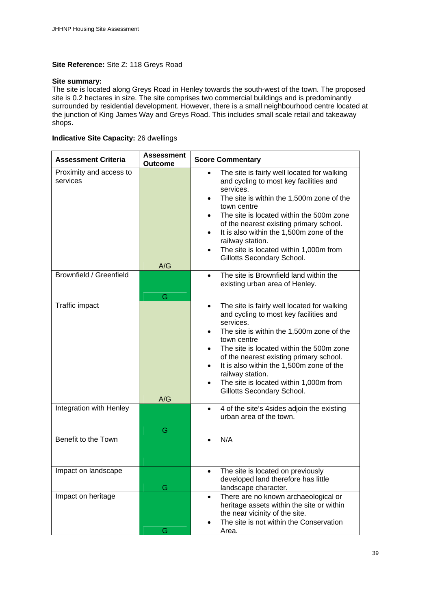#### **Site Reference:** Site Z: 118 Greys Road

#### **Site summary:**

The site is located along Greys Road in Henley towards the south-west of the town. The proposed site is 0.2 hectares in size. The site comprises two commercial buildings and is predominantly surrounded by residential development. However, there is a small neighbourhood centre located at the junction of King James Way and Greys Road. This includes small scale retail and takeaway shops.

#### **Indicative Site Capacity:** 26 dwellings

| <b>Assessment Criteria</b>          | <b>Assessment</b><br>Outcome | <b>Score Commentary</b>                                                                                                                                                                                                                                                                                                                                                                                                                           |
|-------------------------------------|------------------------------|---------------------------------------------------------------------------------------------------------------------------------------------------------------------------------------------------------------------------------------------------------------------------------------------------------------------------------------------------------------------------------------------------------------------------------------------------|
| Proximity and access to<br>services | A/G                          | The site is fairly well located for walking<br>and cycling to most key facilities and<br>services.<br>The site is within the 1,500m zone of the<br>$\bullet$<br>town centre<br>The site is located within the 500m zone<br>$\bullet$<br>of the nearest existing primary school.<br>It is also within the 1,500m zone of the<br>$\bullet$<br>railway station.<br>The site is located within 1,000m from<br>$\bullet$<br>Gillotts Secondary School. |
| <b>Brownfield / Greenfield</b>      | G                            | The site is Brownfield land within the<br>$\bullet$<br>existing urban area of Henley.                                                                                                                                                                                                                                                                                                                                                             |
| Traffic impact                      | A/G                          | The site is fairly well located for walking<br>$\bullet$<br>and cycling to most key facilities and<br>services.<br>The site is within the 1,500m zone of the<br>town centre<br>The site is located within the 500m zone<br>of the nearest existing primary school.<br>It is also within the 1,500m zone of the<br>$\bullet$<br>railway station.<br>The site is located within 1,000m from<br>$\bullet$<br>Gillotts Secondary School.              |
| Integration with Henley             | G                            | 4 of the site's 4 sides adjoin the existing<br>$\bullet$<br>urban area of the town.                                                                                                                                                                                                                                                                                                                                                               |
| Benefit to the Town                 |                              | N/A<br>$\bullet$                                                                                                                                                                                                                                                                                                                                                                                                                                  |
| Impact on landscape                 | G                            | The site is located on previously<br>$\bullet$<br>developed land therefore has little<br>landscape character.                                                                                                                                                                                                                                                                                                                                     |
| Impact on heritage                  | G                            | There are no known archaeological or<br>$\bullet$<br>heritage assets within the site or within<br>the near vicinity of the site.<br>The site is not within the Conservation<br>Area.                                                                                                                                                                                                                                                              |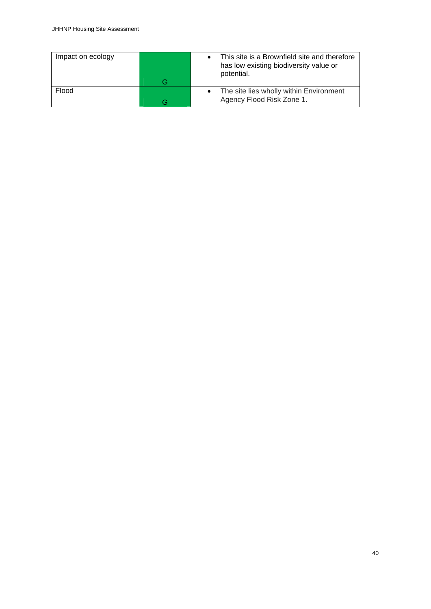| Impact on ecology |   | This site is a Brownfield site and therefore<br>has low existing biodiversity value or<br>potential. |
|-------------------|---|------------------------------------------------------------------------------------------------------|
|                   | G |                                                                                                      |
| Flood             |   | The site lies wholly within Environment                                                              |
|                   |   | Agency Flood Risk Zone 1.                                                                            |